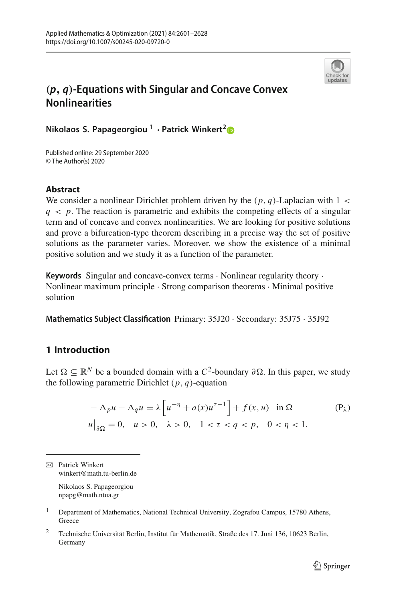

# *(p, q)***-Equations with Singular and Concave Convex Nonlinearities**

**Nikolaos S. Papageorgiou <sup>1</sup> · Patrick Winkert[2](http://orcid.org/0000-0003-0320-7026)**

Published online: 29 September 2020 © The Author(s) 2020

## **Abstract**

We consider a nonlinear Dirichlet problem driven by the  $(p, q)$ -Laplacian with  $1 <$  $q \lt p$ . The reaction is parametric and exhibits the competing effects of a singular term and of concave and convex nonlinearities. We are looking for positive solutions and prove a bifurcation-type theorem describing in a precise way the set of positive solutions as the parameter varies. Moreover, we show the existence of a minimal positive solution and we study it as a function of the parameter.

**Keywords** Singular and concave-convex terms · Nonlinear regularity theory · Nonlinear maximum principle · Strong comparison theorems · Minimal positive solution

**Mathematics Subject Classification** Primary: 35J20 · Secondary: 35J75 · 35J92

# **1 Introduction**

Let  $\Omega \subseteq \mathbb{R}^N$  be a bounded domain with a  $C^2$ -boundary ∂ $\Omega$ . In this paper, we study the following parametric Dirichlet (*p*, *q*)-equation

$$
-\Delta_p u - \Delta_q u = \lambda \left[ u^{-\eta} + a(x) u^{\tau-1} \right] + f(x, u) \quad \text{in } \Omega
$$
  
 
$$
u\big|_{\partial\Omega} = 0, \quad u > 0, \quad \lambda > 0, \quad 1 < \tau < q < p, \quad 0 < \eta < 1.
$$
 (P<sub>\lambda</sub>)

 $\boxtimes$  Patrick Winkert winkert@math.tu-berlin.de

> Nikolaos S. Papageorgiou npapg@math.ntua.gr

- <sup>1</sup> Department of Mathematics, National Technical University, Zografou Campus, 15780 Athens, **Greece**
- <sup>2</sup> Technische Universität Berlin, Institut für Mathematik, Straße des 17. Juni 136, 10623 Berlin, Germany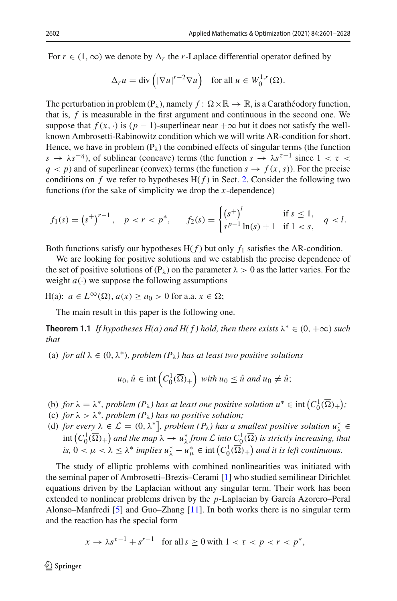For  $r \in (1, \infty)$  we denote by  $\Delta_r$  the *r*-Laplace differential operator defined by

$$
\Delta_r u = \text{div}\left(|\nabla u|^{r-2} \nabla u\right) \quad \text{for all } u \in W_0^{1,r}(\Omega).
$$

The perturbation in problem  $(P_\lambda)$ , namely  $f: \Omega \times \mathbb{R} \to \mathbb{R}$ , is a Carathéodory function, that is, *f* is measurable in the first argument and continuous in the second one. We suppose that  $f(x, \cdot)$  is  $(p - 1)$ -superlinear near  $+\infty$  but it does not satisfy the wellknown Ambrosetti-Rabinowitz condition which we will write AR-condition for short. Hence, we have in problem  $(P_{\lambda})$  the combined effects of singular terms (the function *s* →  $\lambda s^{-\eta}$ ), of sublinear (concave) terms (the function  $s \to \lambda s^{\tau-1}$  since  $1 < \tau <$  $q < p$ ) and of superlinear (convex) terms (the function  $s \rightarrow f(x, s)$ ). For the precise conditions on  $f$  we refer to hypotheses  $H(f)$  in Sect. [2.](#page-2-0) Consider the following two functions (for the sake of simplicity we drop the *x*-dependence)

$$
f_1(s) = (s^+)^{r-1}, \quad p < r < p^*, \qquad f_2(s) = \begin{cases} (s^+)^l & \text{if } s \le 1, \\ s^{p-1} \ln(s) + 1 & \text{if } 1 < s, \end{cases} \quad q < l.
$$

Both functions satisfy our hypotheses  $H(f)$  but only  $f_1$  satisfies the AR-condition.

We are looking for positive solutions and we establish the precise dependence of the set of positive solutions of  $(P_\lambda)$  on the parameter  $\lambda > 0$  as the latter varies. For the weight  $a(\cdot)$  we suppose the following assumptions

 $H(a): a \in L^{\infty}(\Omega), a(x) \ge a_0 > 0$  for a.a.  $x \in \Omega;$ 

The main result in this paper is the following one.

**Theorem 1.1** *If hypotheses H(a) and H(f) hold, then there exists*  $\lambda^* \in (0, +\infty)$  *such that*

(a) *for all*  $\lambda \in (0, \lambda^*)$ *, problem*  $(P_{\lambda})$  *has at least two positive solutions* 

$$
u_0, \hat{u} \in \text{int}\left(C_0^1(\overline{\Omega})_+\right) \text{ with } u_0 \leq \hat{u} \text{ and } u_0 \neq \hat{u};
$$

- (b) *for*  $\lambda = \lambda^*$ , *problem*  $(P_{\lambda})$  *has at least one positive solution*  $u^* \in \text{int}\left(C_0^1(\overline{\Omega})_+\right);$
- (c) *for*  $\lambda > \lambda^*$ *, problem*  $(P_\lambda)$  *has no positive solution;*
- (d) *for every*  $\lambda \in \mathcal{L} = (0, \lambda^*]$ , *problem*  $(P_{\lambda})$  *has a smallest positive solution*  $u_{\lambda}^* \in$  $\int_{0}^{1}$   $(C_0^1(\overline{\Omega})_+)$  and the map  $\lambda \to u_\lambda^*$  *from*  $\mathcal L$  *into*  $C_0^1(\overline{\Omega})$  *is strictly increasing, that is,*  $0 < \mu < \lambda \leq \lambda^*$  *implies*  $u^*_{\lambda} - u^*_{\mu} \in \text{int}\left(C_0^1(\overline{\Omega})_+\right)$  *and it is left continuous.*

The study of elliptic problems with combined nonlinearities was initiated with the seminal paper of Ambrosetti–Brezis–Cerami [\[1](#page-26-0)] who studied semilinear Dirichlet equations driven by the Laplacian without any singular term. Their work has been extended to nonlinear problems driven by the *p*-Laplacian by García Azorero–Peral Alonso–Manfredi [\[5\]](#page-26-1) and Guo–Zhang [\[11\]](#page-26-2). In both works there is no singular term and the reaction has the special form

$$
x \to \lambda s^{\tau - 1} + s^{r - 1} \quad \text{for all } s \ge 0 \text{ with } 1 < \tau < p < r < p^*,
$$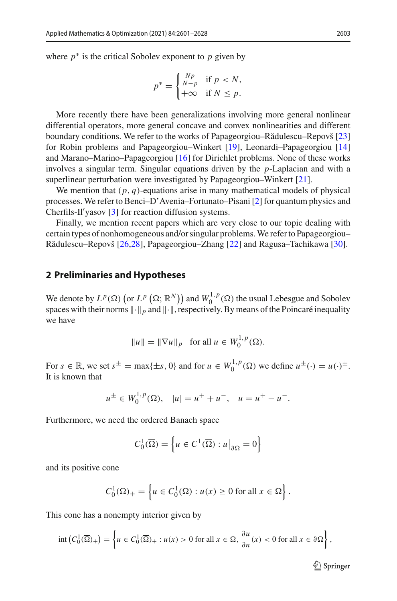where  $p^*$  is the critical Sobolev exponent to  $p$  given by

$$
p^* = \begin{cases} \frac{Np}{N-p} & \text{if } p < N, \\ +\infty & \text{if } N \le p. \end{cases}
$$

More recently there have been generalizations involving more general nonlinear differential operators, more general concave and convex nonlinearities and different boundary conditions. We refer to the works of Papageorgiou–Rădulescu–Repovš [\[23\]](#page-27-0) for Robin problems and Papageorgiou–Winkert [\[19](#page-27-1)], Leonardi–Papageorgiou [\[14\]](#page-26-3) and Marano–Marino–Papageorgiou [\[16\]](#page-27-2) for Dirichlet problems. None of these works involves a singular term. Singular equations driven by the *p*-Laplacian and with a superlinear perturbation were investigated by Papageorgiou–Winkert [\[21](#page-27-3)].

We mention that  $(p, q)$ -equations arise in many mathematical models of physical processes. We refer to Benci–D'Avenia–Fortunato–Pisani [\[2](#page-26-4)] for quantum physics and Cherfils-Il yasov [\[3](#page-26-5)] for reaction diffusion systems.

Finally, we mention recent papers which are very close to our topic dealing with certain types of nonhomogeneous and/or singular problems.We refer to Papageorgiou– Rădulescu–Repovš [\[26](#page-27-4)[,28](#page-27-5)], Papageorgiou–Zhang [\[22](#page-27-6)] and Ragusa–Tachikawa [\[30\]](#page-27-7).

#### <span id="page-2-0"></span>**2 Preliminaries and Hypotheses**

We denote by  $L^p(\Omega)$  (or  $L^p(\Omega; \mathbb{R}^N)$ ) and  $W_0^{1,p}(\Omega)$  the usual Lebesgue and Sobolev spaces with their norms  $\|\cdot\|_p$  and  $\|\cdot\|$ , respectively. By means of the Poincaré inequality we have

$$
||u|| = ||\nabla u||_p
$$
 for all  $u \in W_0^{1,p}(\Omega)$ .

For  $s \in \mathbb{R}$ , we set  $s^{\pm} = \max\{\pm s, 0\}$  and for  $u \in W_0^{1,p}(\Omega)$  we define  $u^{\pm}(\cdot) = u(\cdot)^{\pm}$ . It is known that

$$
u^{\pm} \in W_0^{1,p}(\Omega), \quad |u| = u^+ + u^-, \quad u = u^+ - u^-.
$$

Furthermore, we need the ordered Banach space

$$
C_0^1(\overline{\Omega}) = \left\{ u \in C^1(\overline{\Omega}) : u \big|_{\partial \Omega} = 0 \right\}
$$

and its positive cone

$$
C_0^1(\overline{\Omega})_+ = \left\{ u \in C_0^1(\overline{\Omega}) : u(x) \ge 0 \text{ for all } x \in \overline{\Omega} \right\}.
$$

This cone has a nonempty interior given by

$$
\operatorname{int}\left(C_0^1(\overline{\Omega})_+\right) = \left\{ u \in C_0^1(\overline{\Omega})_+ : u(x) > 0 \text{ for all } x \in \Omega, \frac{\partial u}{\partial n}(x) < 0 \text{ for all } x \in \partial \Omega \right\},\
$$

 $\mathcal{D}$  Springer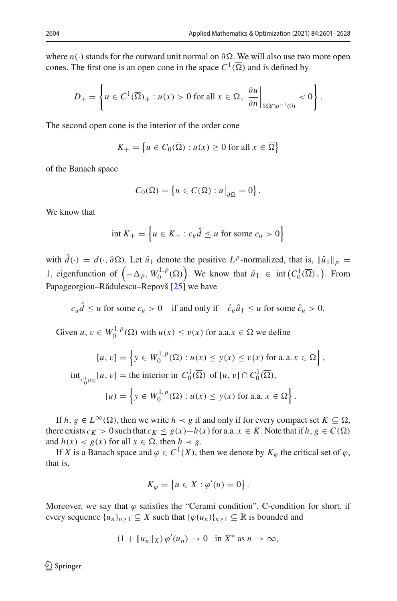where *n*(·) stands for the outward unit normal on ∂Ω. We will also use two more open cones. The first one is an open cone in the space  $C^1(\overline{\Omega})$  and is defined by

$$
D_{+} = \left\{ u \in C^{1}(\overline{\Omega})_{+} : u(x) > 0 \text{ for all } x \in \Omega, \left. \frac{\partial u}{\partial n} \right|_{\partial \Omega \cap u^{-1}(0)} < 0 \right\}.
$$

The second open cone is the interior of the order cone

$$
K_{+} = \left\{ u \in C_{0}(\overline{\Omega}) : u(x) \ge 0 \text{ for all } x \in \overline{\Omega} \right\}
$$

of the Banach space

$$
C_0(\overline{\Omega}) = \left\{ u \in C(\overline{\Omega}) : u \big|_{\partial \Omega} = 0 \right\}.
$$

We know that

$$
\text{int } K_+ = \left\{ u \in K_+ : c_u \hat{d} \le u \text{ for some } c_u > 0 \right\}
$$

with  $\hat{d}(\cdot) = d(\cdot, \partial \Omega)$ . Let  $\hat{u}_1$  denote the positive  $L^p$ -normalized, that is,  $\|\hat{u}_1\|_p =$ 1, eigenfunction of  $(-\Delta_p, W_0^{1,p}(\Omega))$ . We know that  $\hat{u}_1 \in \text{int}(C_0^1(\overline{\Omega})_+)$ . From Papageorgiou–Rădulescu–Repovš  $[25]$  $[25]$  we have

$$
c_u \hat{d} \le u \text{ for some } c_u > 0 \quad \text{if and only if} \quad \hat{c}_u \hat{u}_1 \le u \text{ for some } \hat{c}_u > 0.
$$

Given  $u, v \in W_0^{1,p}(\Omega)$  with  $u(x) \le v(x)$  for a.a. $x \in \Omega$  we define

$$
[u, v] = \left\{ y \in W_0^{1, p}(\Omega) : u(x) \le y(x) \le v(x) \text{ for a.a. } x \in \Omega \right\},
$$
  

$$
\text{int}_{C_0^1(\overline{\Omega})} [u, v] = \text{the interior in } C_0^1(\overline{\Omega}) \text{ of } [u, v] \cap C_0^1(\overline{\Omega}),
$$
  

$$
[u] = \left\{ y \in W_0^{1, p}(\Omega) : u(x) \le y(x) \text{ for a.a. } x \in \Omega \right\}.
$$

If *h*,  $g \in L^{\infty}(\Omega)$ , then we write  $h \prec g$  if and only if for every compact set  $K \subseteq \Omega$ , there exists  $c_K > 0$  such that  $c_K \leq g(x) - h(x)$  for a.a.  $x \in K$ . Note that if  $h, g \in C(\Omega)$ and  $h(x) < g(x)$  for all  $x \in \Omega$ , then  $h \prec g$ .

If *X* is a Banach space and  $\varphi \in C^1(X)$ , then we denote by  $K_{\varphi}$  the critical set of  $\varphi$ , that is,

$$
K_{\varphi} = \left\{ u \in X : \varphi'(u) = 0 \right\}.
$$

Moreover, we say that  $\varphi$  satisfies the "Cerami condition", C-condition for short, if every sequence  $\{u_n\}_{n\geq 1} \subseteq X$  such that  $\{\varphi(u_n)\}_{n\geq 1} \subseteq \mathbb{R}$  is bounded and

$$
(1 + \|u_n\|_X)\,\varphi'(u_n) \to 0 \quad \text{in } X^* \text{ as } n \to \infty,
$$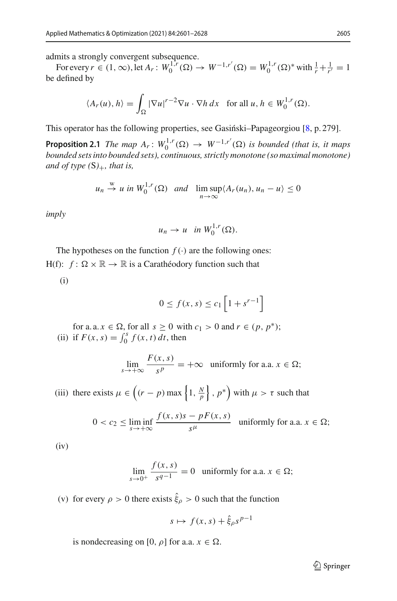admits a strongly convergent subsequence.

For every  $r \in (1, \infty)$ , let  $A_r : W_0^{1,r}(\Omega) \to W^{-1,r'}(\Omega) = W_0^{1,r}(\Omega)^*$  with  $\frac{1}{r} + \frac{1}{r'} = 1$ be defined by

$$
\langle A_r(u), h \rangle = \int_{\Omega} |\nabla u|^{r-2} \nabla u \cdot \nabla h \, dx \quad \text{for all } u, h \in W_0^{1,r}(\Omega).
$$

<span id="page-4-0"></span>This operator has the following properties, see Gasiński–Papageorgiou  $[8, p. 279]$  $[8, p. 279]$ .

**Proposition 2.1** *The map*  $A_r$ :  $W_0^{1,r}(\Omega) \to W^{-1,r'}(\Omega)$  *is bounded (that is, it maps bounded sets into bounded sets), continuous, strictly monotone (so maximal monotone) and of type (*S*)*+*, that is,*

$$
u_n \stackrel{w}{\to} u \text{ in } W_0^{1,r}(\Omega) \text{ and } \limsup_{n \to \infty} \langle A_r(u_n), u_n - u \rangle \le 0
$$

*imply*

$$
u_n \to u \quad \text{in } W_0^{1,r}(\Omega).
$$

The hypotheses on the function  $f(\cdot)$  are the following ones:  $H(f): f: \Omega \times \mathbb{R} \to \mathbb{R}$  is a Carathéodory function such that

(i)

$$
0 \le f(x, s) \le c_1 \left[ 1 + s^{r-1} \right]
$$

for a. a.  $x \in \Omega$ , for all  $s \ge 0$  with  $c_1 > 0$  and  $r \in (p, p^*)$ ; (ii) if  $F(x, s) = \int_0^s f(x, t) dt$ , then

$$
\lim_{s \to +\infty} \frac{F(x, s)}{s^p} = +\infty \text{ uniformly for a.a. } x \in \Omega;
$$

(iii) there exists  $\mu \in \left( (r - p) \max \left\{ 1, \frac{N}{p} \right\}, p^* \right)$  with  $\mu > \tau$  such that

$$
0 < c_2 \le \liminf_{s \to +\infty} \frac{f(x, s)s - pF(x, s)}{s^{\mu}} \quad \text{uniformly for a.a. } x \in \Omega;
$$

(iv)

$$
\lim_{s \to 0^+} \frac{f(x, s)}{s^{q-1}} = 0 \quad \text{uniformly for a.a. } x \in \Omega;
$$

(v) for every  $\rho > 0$  there exists  $\xi_{\rho} > 0$  such that the function

$$
s \mapsto f(x, s) + \hat{\xi}_{\rho} s^{p-1}
$$

is nondecreasing on [0,  $\rho$ ] for a.a.  $x \in \Omega$ .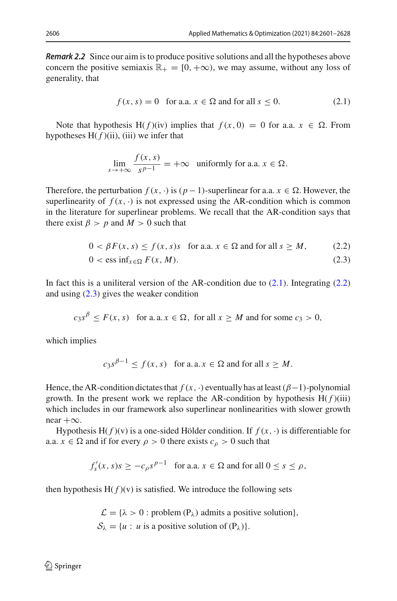*Remark 2.2* Since our aim is to produce positive solutions and all the hypotheses above concern the positive semiaxis  $\mathbb{R}_+ = [0, +\infty)$ , we may assume, without any loss of generality, that

<span id="page-5-0"></span>
$$
f(x, s) = 0 \quad \text{for a.a. } x \in \Omega \text{ and for all } s \le 0. \tag{2.1}
$$

Note that hypothesis H( $f$ )(iv) implies that  $f(x, 0) = 0$  for a.a.  $x \in \Omega$ . From hypotheses  $H(f)(ii)$ , (iii) we infer that

<span id="page-5-2"></span><span id="page-5-1"></span>
$$
\lim_{s \to +\infty} \frac{f(x, s)}{s^{p-1}} = +\infty \text{ uniformly for a.a. } x \in \Omega.
$$

Therefore, the perturbation  $f(x, \cdot)$  is  $(p-1)$ -superlinear for a.a.  $x \in \Omega$ . However, the superlinearity of  $f(x, \cdot)$  is not expressed using the AR-condition which is common in the literature for superlinear problems. We recall that the AR-condition says that there exist  $\beta > p$  and  $M > 0$  such that

$$
0 < \beta F(x, s) \le f(x, s)s \quad \text{for a.a. } x \in \Omega \text{ and for all } s \ge M,\tag{2.2}
$$

$$
0 < \text{ess inf}_{x \in \Omega} F(x, M). \tag{2.3}
$$

In fact this is a uniliteral version of the AR-condition due to  $(2.1)$ . Integrating  $(2.2)$ and using  $(2.3)$  gives the weaker condition

$$
c_3s^{\beta} \le F(x, s)
$$
 for a.a.  $x \in \Omega$ , for all  $x \ge M$  and for some  $c_3 > 0$ ,

which implies

$$
c_3s^{\beta-1} \le f(x, s)
$$
 for a.a.  $x \in \Omega$  and for all  $s \ge M$ .

Hence, the AR-condition dictates that  $f(x, \cdot)$  eventually has at least  $(\beta-1)$ -polynomial growth. In the present work we replace the AR-condition by hypothesis  $H(f)(iii)$ which includes in our framework also superlinear nonlinearities with slower growth near  $+\infty$ .

Hypothesis H( $f$ )(v) is a one-sided Hölder condition. If  $f(x, \cdot)$  is differentiable for a.a.  $x \in \Omega$  and if for every  $\rho > 0$  there exists  $c_{\rho} > 0$  such that

$$
f'_{s}(x, s)s \ge -c_{\rho}s^{p-1}
$$
 for a.a.  $x \in \Omega$  and for all  $0 \le s \le \rho$ ,

then hypothesis  $H(f)(v)$  is satisfied. We introduce the following sets

 $\mathcal{L} = {\lambda > 0 :$  problem (P<sub> $\lambda$ </sub>) admits a positive solution},  $S_{\lambda} = \{u : u \text{ is a positive solution of } (P_{\lambda})\}.$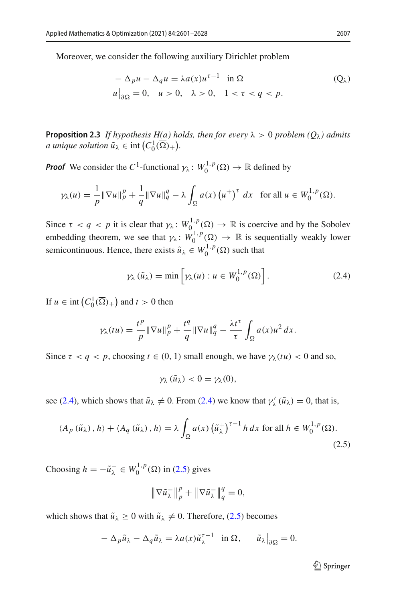Moreover, we consider the following auxiliary Dirichlet problem

$$
-\Delta_p u - \Delta_q u = \lambda a(x) u^{\tau - 1} \quad \text{in } \Omega
$$
  
 
$$
u\big|_{\partial\Omega} = 0, \quad u > 0, \quad \lambda > 0, \quad 1 < \tau < q < p.
$$
 (Q<sub>\lambda</sub>)

<span id="page-6-2"></span>**Proposition 2.3** *If hypothesis H(a) holds, then for every*  $\lambda > 0$  *problem*  $(O_{\lambda})$  *admits a* unique solution  $\tilde{u}_{\lambda} \in \text{int}\left(C_0^1(\overline{\Omega})_+\right)$ .

*Proof* We consider the *C*<sup>1</sup>-functional  $\gamma_{\lambda}$ :  $W_0^{1,p}(\Omega) \to \mathbb{R}$  defined by

$$
\gamma_{\lambda}(u) = \frac{1}{p} \|\nabla u\|_{p}^{p} + \frac{1}{q} \|\nabla u\|_{q}^{q} - \lambda \int_{\Omega} a(x) \left(u^{+}\right)^{\tau} dx \quad \text{for all } u \in W_{0}^{1, p}(\Omega).
$$

Since  $\tau < q < p$  it is clear that  $\gamma_{\lambda}: W_0^{1,p}(\Omega) \to \mathbb{R}$  is coercive and by the Sobolev embedding theorem, we see that  $\gamma_{\lambda} : W_0^{1,p}(\Omega) \to \mathbb{R}$  is sequentially weakly lower semicontinuous. Hence, there exists  $\tilde{u}_{\lambda} \in W_0^{1,p}(\Omega)$  such that

<span id="page-6-0"></span>
$$
\gamma_{\lambda}(\tilde{u}_{\lambda}) = \min \left[ \gamma_{\lambda}(u) : u \in W_0^{1,p}(\Omega) \right]. \tag{2.4}
$$

If  $u \in \text{int}\left(C_0^1(\overline{\Omega})_+\right)$  and  $t > 0$  then

$$
\gamma_{\lambda}(tu) = \frac{t^p}{p} \|\nabla u\|_p^p + \frac{t^q}{q} \|\nabla u\|_q^q - \frac{\lambda t^{\tau}}{\tau} \int_{\Omega} a(x) u^2 dx.
$$

Since  $\tau < q < p$ , choosing  $t \in (0, 1)$  small enough, we have  $\gamma_{\lambda}(tu) < 0$  and so,

<span id="page-6-1"></span>
$$
\gamma_{\lambda}(\tilde{u}_{\lambda})<0=\gamma_{\lambda}(0),
$$

see [\(2.4\)](#page-6-0), which shows that  $\tilde{u}_{\lambda} \neq 0$ . From (2.4) we know that  $\gamma'_{\lambda}(\tilde{u}_{\lambda}) = 0$ , that is,

$$
\langle A_p(\tilde{u}_\lambda), h \rangle + \langle A_q(\tilde{u}_\lambda), h \rangle = \lambda \int_{\Omega} a(x) \left(\tilde{u}_\lambda^+\right)^{\tau-1} h \, dx \text{ for all } h \in W_0^{1, p}(\Omega). \tag{2.5}
$$

Choosing  $h = -\tilde{u}_\lambda^- \in W_0^{1,p}(\Omega)$  in [\(2.5\)](#page-6-1) gives

$$
\|\nabla \tilde{u}_{\lambda}^{-}\|_{p}^{p} + \|\nabla \tilde{u}_{\lambda}^{-}\|_{q}^{q} = 0,
$$

which shows that  $\tilde{u}_{\lambda} \ge 0$  with  $\tilde{u}_{\lambda} \ne 0$ . Therefore, [\(2.5\)](#page-6-1) becomes

$$
-\Delta_p \tilde{u}_{\lambda} - \Delta_q \tilde{u}_{\lambda} = \lambda a(x) \tilde{u}_{\lambda}^{\tau-1} \quad \text{in } \Omega, \qquad \tilde{u}_{\lambda}\big|_{\partial\Omega} = 0.
$$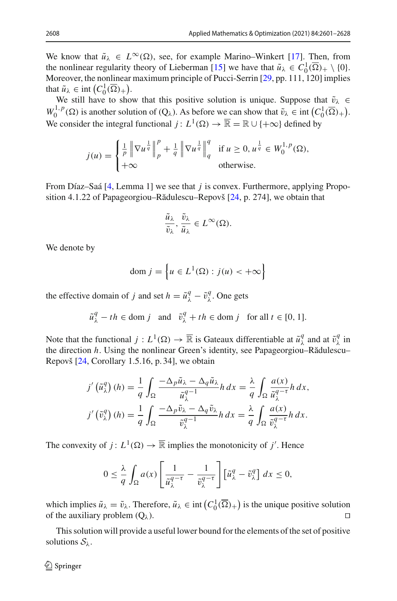We know that  $\tilde{u}_{\lambda} \in L^{\infty}(\Omega)$ , see, for example Marino–Winkert [\[17](#page-27-9)]. Then, from the nonlinear regularity theory of Lieberman [\[15\]](#page-27-10) we have that  $\tilde{u}_{\lambda} \in C_0^1(\overline{\Omega})_+ \setminus \{0\}$ . Moreover, the nonlinear maximum principle of Pucci-Serrin [\[29](#page-27-11), pp. 111, 120] implies that  $\tilde{u}_{\lambda} \in \text{int} (C_0^1(\overline{\Omega})_+).$ 

We still have to show that this positive solution is unique. Suppose that  $\tilde{v}_{\lambda} \in$  $W_0^{1,p}(\Omega)$  is another solution of  $(Q_\lambda)$ . As before we can show that  $\tilde{v}_\lambda \in \text{int} (C_0^1(\overline{\Omega})_+)$ . We consider the integral functional *j* :  $L^1(\Omega) \to \overline{\mathbb{R}} = \mathbb{R} \cup \{+\infty\}$  defined by

$$
j(u) = \begin{cases} \frac{1}{p} \left\| \nabla u^{\frac{1}{q}} \right\|_p^p + \frac{1}{q} \left\| \nabla u^{\frac{1}{q}} \right\|_q^q & \text{if } u \ge 0, u^{\frac{1}{q}} \in W_0^{1,p}(\Omega), \\ +\infty & \text{otherwise.} \end{cases}
$$

From Díaz–Saá [\[4,](#page-26-7) Lemma 1] we see that *j* is convex. Furthermore, applying Propo-sition 4.1.22 of Papageorgiou–Rădulescu–Repovš [\[24,](#page-27-12) p. 274], we obtain that

$$
\frac{\tilde{u}_{\lambda}}{\tilde{v}_{\lambda}}, \frac{\tilde{v}_{\lambda}}{\tilde{u}_{\lambda}} \in L^{\infty}(\Omega).
$$

We denote by

$$
\text{dom } j = \left\{ u \in L^1(\Omega) : j(u) < +\infty \right\}
$$

the effective domain of *j* and set  $h = \tilde{u}^q_\lambda - \tilde{v}^q_\lambda$ . One gets

$$
\tilde{u}^q_\lambda - th \in \text{dom } j \quad \text{and} \quad \tilde{v}^q_\lambda + th \in \text{dom } j \quad \text{for all } t \in [0, 1].
$$

Note that the functional  $j: L^1(\Omega) \to \overline{\mathbb{R}}$  is Gateaux differentiable at  $\tilde{u}^q_\lambda$  and at  $\tilde{v}^q_\lambda$  in the direction *h*. Using the nonlinear Green's identity, see Papageorgiou–Rădulescu– Repovš [\[24](#page-27-12), Corollary 1.5.16, p. 34], we obtain

$$
j'\left(\tilde{u}_{\lambda}^{q}\right)(h) = \frac{1}{q} \int_{\Omega} \frac{-\Delta_{p}\tilde{u}_{\lambda} - \Delta_{q}\tilde{u}_{\lambda}}{\tilde{u}_{\lambda}^{q-1}} h \, dx = \frac{\lambda}{q} \int_{\Omega} \frac{a(x)}{\tilde{u}_{\lambda}^{q-1}} h \, dx,
$$

$$
j'\left(\tilde{v}_{\lambda}^{q}\right)(h) = \frac{1}{q} \int_{\Omega} \frac{-\Delta_{p}\tilde{v}_{\lambda} - \Delta_{q}\tilde{v}_{\lambda}}{\tilde{v}_{\lambda}^{q-1}} h \, dx = \frac{\lambda}{q} \int_{\Omega} \frac{a(x)}{\tilde{v}_{\lambda}^{q-1}} h \, dx.
$$

The convexity of  $j: L^1(\Omega) \to \overline{\mathbb{R}}$  implies the monotonicity of *j'*. Hence

$$
0 \leq \frac{\lambda}{q} \int_{\Omega} a(x) \left[ \frac{1}{\tilde{u}_{\lambda}^{q-\tau}} - \frac{1}{\tilde{v}_{\lambda}^{q-\tau}} \right] \left[ \tilde{u}_{\lambda}^{q} - \tilde{v}_{\lambda}^{q} \right] dx \leq 0,
$$

which implies  $\tilde{u}_{\lambda} = \tilde{v}_{\lambda}$ . Therefore,  $\tilde{u}_{\lambda} \in \text{int}\left(C_0^1(\overline{\Omega})_+\right)$  is the unique positive solution of the auxiliary problem  $(Q_\lambda)$ .

This solution will provide a useful lower bound for the elements of the set of positive solutions  $S_\lambda$ .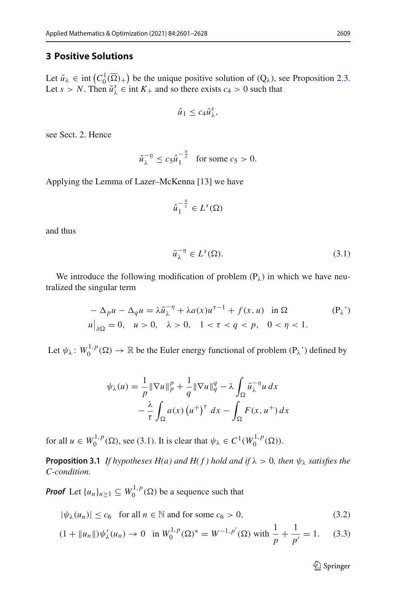### **3 Positive Solutions**

Let  $\tilde{u}_{\lambda} \in \text{int}\left(C_0^1(\overline{\Omega})_+\right)$  be the unique positive solution of  $(Q_{\lambda})$ , see Proposition [2.3.](#page-6-2) Let  $s > N$ . Then  $\tilde{u}_{\lambda}^s \in \text{int } K_+$  and so there exists  $c_4 > 0$  such that

$$
\hat{u}_1 \leq c_4 \tilde{u}^s_\lambda,
$$

see Sect. [2.](#page-2-0) Hence

$$
\tilde{u}_{\lambda}^{-\eta} \le c_5 \hat{u}_1^{-\frac{\eta}{s}} \quad \text{for some } c_5 > 0.
$$

Applying the Lemma of Lazer–McKenna [\[13\]](#page-26-8) we have

$$
\hat{u}_1^{-\frac{\eta}{s}}\in L^s(\Omega)
$$

and thus

<span id="page-8-0"></span>
$$
\tilde{u}_{\lambda}^{-\eta} \in L^{s}(\Omega). \tag{3.1}
$$

We introduce the following modification of problem  $(P_{\lambda})$  in which we have neutralized the singular term

$$
-\Delta_p u - \Delta_q u = \lambda \tilde{u}_{\lambda}^{-\eta} + \lambda a(x) u^{\tau - 1} + f(x, u) \quad \text{in } \Omega
$$
  
\n
$$
u\big|_{\partial\Omega} = 0, \quad u > 0, \quad \lambda > 0, \quad 1 < \tau < q < p, \quad 0 < \eta < 1.
$$
 (P<sub>\lambda</sub>)

Let  $\psi_{\lambda}$ :  $W_0^{1,p}(\Omega) \to \mathbb{R}$  be the Euler energy functional of problem  $(P_{\lambda})$  defined by

$$
\psi_{\lambda}(u) = \frac{1}{p} \|\nabla u\|_{p}^{p} + \frac{1}{q} \|\nabla u\|_{q}^{q} - \lambda \int_{\Omega} \tilde{u}_{\lambda}^{-\eta} u \, dx
$$

$$
- \frac{\lambda}{\tau} \int_{\Omega} a(x) \left(u^{+}\right)^{\tau} dx - \int_{\Omega} F(x, u^{+}) dx
$$

<span id="page-8-3"></span>for all  $u \in W_0^{1,p}(\Omega)$ , see [\(3.1\)](#page-8-0). It is clear that  $\psi_{\lambda} \in C^1(W_0^{1,p}(\Omega))$ .

**Proposition 3.1** *If hypotheses H(a) and H(f) hold and if*  $\lambda > 0$ *, then*  $\psi_{\lambda}$  *satisfies the C-condition.*

*Proof* Let  $\{u_n\}_{n\geq 1} \subseteq W_0^{1,p}(\Omega)$  be a sequence such that

$$
|\psi_{\lambda}(u_n)| \le c_6 \quad \text{for all } n \in \mathbb{N} \text{ and for some } c_6 > 0,
$$
 (3.2)

$$
(1 + \|u_n\|)\psi'_{\lambda}(u_n) \to 0 \quad \text{in } W_0^{1,p}(\Omega)^* = W^{-1,p'}(\Omega) \text{ with } \frac{1}{p} + \frac{1}{p'} = 1. \tag{3.3}
$$

<span id="page-8-2"></span><span id="page-8-1"></span><sup>2</sup> Springer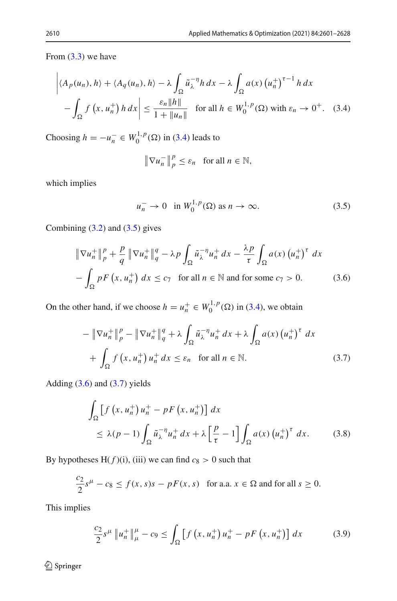From  $(3.3)$  we have

$$
\left| \langle A_p(u_n), h \rangle + \langle A_q(u_n), h \rangle - \lambda \int_{\Omega} \tilde{u}_{\lambda}^{-\eta} h \, dx - \lambda \int_{\Omega} a(x) \left( u_n^+ \right)^{\tau - 1} h \, dx \right|
$$
  
- 
$$
\int_{\Omega} f(x, u_n^+) h \, dx \Big| \le \frac{\varepsilon_n \|h\|}{1 + \|u_n\|} \quad \text{for all } h \in W_0^{1, p}(\Omega) \text{ with } \varepsilon_n \to 0^+.
$$
 (3.4)

Choosing *h* = −*u*<sub>*n*</sub><sup>*n*</sup> ∈ *W*<sub>0</sub><sup>1, *p*</sup>(Ω) in [\(3.4\)](#page-9-0) leads to

<span id="page-9-1"></span><span id="page-9-0"></span>
$$
\|\nabla u_n^-\|_p^p \le \varepsilon_n \quad \text{for all } n \in \mathbb{N},
$$

which implies

<span id="page-9-3"></span><span id="page-9-2"></span>
$$
u_n^- \to 0 \quad \text{in } W_0^{1,p}(\Omega) \text{ as } n \to \infty. \tag{3.5}
$$

Combining  $(3.2)$  and  $(3.5)$  gives

$$
\|\nabla u_n^+\|_p^p + \frac{p}{q} \|\nabla u_n^+\|_q^q - \lambda p \int_{\Omega} \tilde{u}_{\lambda}^{-\eta} u_n^+ dx - \frac{\lambda p}{\tau} \int_{\Omega} a(x) (u_n^+)^{\tau} dx
$$
  

$$
- \int_{\Omega} p F(x, u_n^+) dx \le c_7 \text{ for all } n \in \mathbb{N} \text{ and for some } c_7 > 0. \tag{3.6}
$$

On the other hand, if we choose  $h = u_n^+ \in W_0^{1,p}(\Omega)$  in [\(3.4\)](#page-9-0), we obtain

$$
-\|\nabla u_n^+\|_p^p - \|\nabla u_n^+\|_q^q + \lambda \int_{\Omega} \tilde{u}_\lambda^{-n} u_n^+ dx + \lambda \int_{\Omega} a(x) (u_n^+)^{\tau} dx
$$
  
+ 
$$
\int_{\Omega} f(x, u_n^+) u_n^+ dx \leq \varepsilon_n \quad \text{for all } n \in \mathbb{N}.
$$
 (3.7)

Adding  $(3.6)$  and  $(3.7)$  yields

<span id="page-9-4"></span>
$$
\int_{\Omega} \left[ f \left( x, u_n^+ \right) u_n^+ - p F \left( x, u_n^+ \right) \right] dx
$$
\n
$$
\leq \lambda (p-1) \int_{\Omega} \tilde{u}_{\lambda}^{-\eta} u_n^+ dx + \lambda \left[ \frac{p}{\tau} - 1 \right] \int_{\Omega} a(x) \left( u_n^+ \right)^{\tau} dx. \tag{3.8}
$$

By hypotheses  $H(f)(i)$ , (iii) we can find  $c_8 > 0$  such that

$$
\frac{c_2}{2}s^{\mu} - c_8 \le f(x, s)s - pF(x, s) \quad \text{for a.a. } x \in \Omega \text{ and for all } s \ge 0.
$$

This implies

<span id="page-9-5"></span>
$$
\frac{c_2}{2}s^{\mu}\left\|u_n^{+}\right\|_{\mu}^{\mu}-c_9 \le \int_{\Omega}\left[f\left(x, u_n^{+}\right)u_n^{+}-pF\left(x, u_n^{+}\right)\right]dx\tag{3.9}
$$

 $\hat{2}$  Springer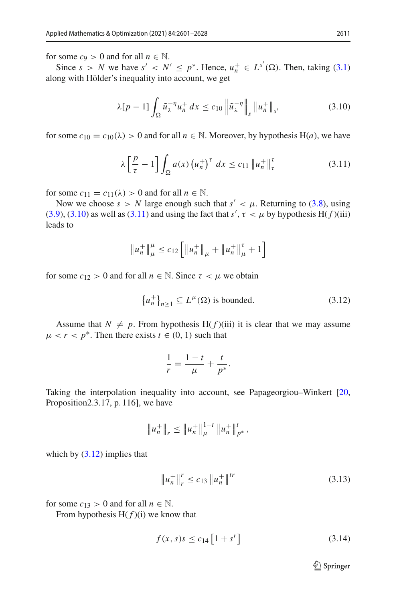for some  $c_9 > 0$  and for all  $n \in \mathbb{N}$ .

Since  $s > N$  we have  $s' < N' \le p^*$ . Hence,  $u_n^+ \in L^{s'}(\Omega)$ . Then, taking [\(3.1\)](#page-8-0) along with Hölder's inequality into account, we get

<span id="page-10-0"></span>
$$
\lambda[p-1] \int_{\Omega} \tilde{u}_{\lambda}^{-\eta} u_n^+ dx \le c_{10} \left\| \tilde{u}_{\lambda}^{-\eta} \right\|_s \| u_n^+ \|_{s'} \tag{3.10}
$$

for some  $c_{10} = c_{10}(\lambda) > 0$  and for all  $n \in \mathbb{N}$ . Moreover, by hypothesis H(*a*), we have

<span id="page-10-1"></span>
$$
\lambda \left[ \frac{p}{\tau} - 1 \right] \int_{\Omega} a(x) \left( u_n^+ \right)^{\tau} dx \le c_{11} \| u_n^+ \|_{\tau}^{\tau}
$$
 (3.11)

for some  $c_{11} = c_{11}(\lambda) > 0$  and for all  $n \in \mathbb{N}$ .

Now we choose  $s > N$  large enough such that  $s' < \mu$ . Returning to [\(3.8\)](#page-9-4), using [\(3.9\)](#page-9-5), [\(3.10\)](#page-10-0) as well as [\(3.11\)](#page-10-1) and using the fact that  $s'$ ,  $\tau < \mu$  by hypothesis H( $f$ )(iii) leads to

$$
||u_n^+||_\mu^{\mu} \leq c_{12} \left[ ||u_n^+||_\mu^+ + ||u_n^+||_\mu^{\tau} + 1 \right]
$$

for some  $c_{12} > 0$  and for all  $n \in \mathbb{N}$ . Since  $\tau < \mu$  we obtain

$$
\left\{ u_n^+ \right\}_{n \ge 1} \subseteq L^{\mu}(\Omega) \text{ is bounded.}
$$
 (3.12)

Assume that  $N \neq p$ . From hypothesis H( $f$ )(iii) it is clear that we may assume  $\mu < r < p^*$ . Then there exists  $t \in (0, 1)$  such that

<span id="page-10-2"></span>
$$
\frac{1}{r} = \frac{1-t}{\mu} + \frac{t}{p^*}.
$$

Taking the interpolation inequality into account, see Papageorgiou–Winkert [\[20,](#page-27-13) Proposition2.3.17, p. 116], we have

$$
||u_n^+||_r \leq ||u_n^+||^{1-t}_\mu ||u_n^+||^t_{p^*},
$$

which by  $(3.12)$  implies that

$$
\|u_n^+\|_r^r \le c_{13} \|u_n^+\|^{tr} \tag{3.13}
$$

for some  $c_{13} > 0$  and for all  $n \in \mathbb{N}$ .

From hypothesis  $H(f)(i)$  we know that

$$
f(x, s)s \le c_{14} [1 + s^r]
$$
 (3.14)

<span id="page-10-4"></span><span id="page-10-3"></span> $\mathcal{D}$  Springer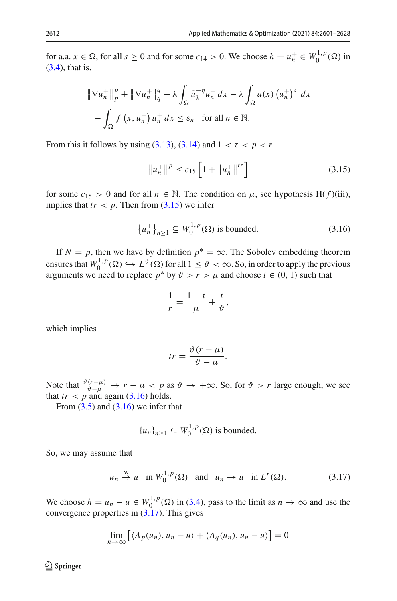for a.a.  $x \in \Omega$ , for all  $s \ge 0$  and for some  $c_{14} > 0$ . We choose  $h = u_n^+ \in W_0^{1,p}(\Omega)$  in [\(3.4\)](#page-9-0), that is,

$$
\|\nabla u_n^+\|_p^p + \|\nabla u_n^+\|_q^q - \lambda \int_{\Omega} \tilde{u}_{\lambda}^{-n} u_n^+ dx - \lambda \int_{\Omega} a(x) (u_n^+)^{\tau} dx
$$

$$
- \int_{\Omega} f(x, u_n^+) u_n^+ dx \leq \varepsilon_n \quad \text{for all } n \in \mathbb{N}.
$$

From this it follows by using  $(3.13)$ ,  $(3.14)$  and  $1 < \tau < p < r$ 

<span id="page-11-0"></span>
$$
\|u_n^+\|^p \le c_{15} \left[1 + \|u_n^+\|^{tr}\right] \tag{3.15}
$$

for some  $c_{15} > 0$  and for all  $n \in \mathbb{N}$ . The condition on  $\mu$ , see hypothesis H(f)(iii), implies that  $tr < p$ . Then from  $(3.15)$  we infer

$$
\left\{ u_n^+ \right\}_{n \ge 1} \subseteq W_0^{1,p}(\Omega) \text{ is bounded.}
$$
 (3.16)

If  $N = p$ , then we have by definition  $p^* = \infty$ . The Sobolev embedding theorem ensures that  $W_0^{1,p}(\Omega) \hookrightarrow L^{\vartheta}(\Omega)$  for all  $1 \leq \vartheta < \infty$ . So, in order to apply the previous arguments we need to replace  $p^*$  by  $\vartheta > r > \mu$  and choose  $t \in (0, 1)$  such that

<span id="page-11-1"></span>
$$
\frac{1}{r} = \frac{1-t}{\mu} + \frac{t}{\vartheta},
$$

which implies

$$
tr = \frac{\vartheta(r - \mu)}{\vartheta - \mu}.
$$

Note that  $\frac{\partial (r-\mu)}{\partial -\mu} \to r - \mu < p$  as  $\vartheta \to +\infty$ . So, for  $\vartheta > r$  large enough, we see that  $tr < p$  and again [\(3.16\)](#page-11-1) holds.

From  $(3.5)$  and  $(3.16)$  we infer that

<span id="page-11-2"></span>
$$
{u_n}_{n\geq 1} \subseteq W_0^{1,p}(\Omega)
$$
 is bounded.

So, we may assume that

$$
u_n \stackrel{w}{\rightarrow} u
$$
 in  $W_0^{1,p}(\Omega)$  and  $u_n \rightarrow u$  in  $L^r(\Omega)$ . (3.17)

We choose  $h = u_n - u \in W_0^{1,p}(\Omega)$  in [\(3.4\)](#page-9-0), pass to the limit as  $n \to \infty$  and use the convergence properties in  $(3.17)$ . This gives

$$
\lim_{n \to \infty} \left[ \langle A_p(u_n), u_n - u \rangle + \langle A_q(u_n), u_n - u \rangle \right] = 0
$$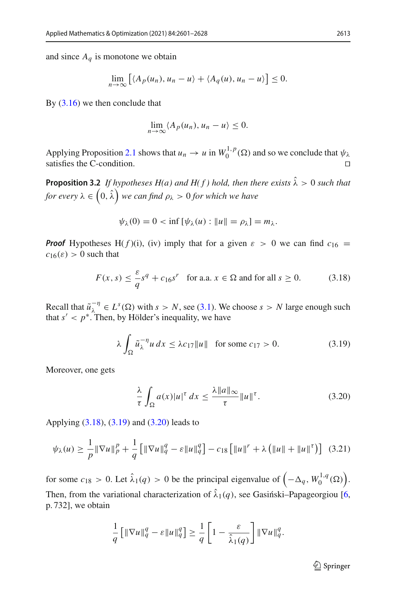and since  $A_q$  is monotone we obtain

$$
\lim_{n\to\infty}\big[\langle A_p(u_n),u_n-u\rangle+\langle A_q(u),u_n-u\rangle\big]\leq 0.
$$

By  $(3.16)$  we then conclude that

$$
\lim_{n\to\infty}\langle A_p(u_n),u_n-u\rangle\leq 0.
$$

Applying Proposition [2.1](#page-4-0) shows that  $u_n \to u$  in  $W_0^{1,p}(\Omega)$  and so we conclude that  $\psi_\lambda$ satisfies the C-condition.

<span id="page-12-4"></span>**Proposition 3.2** *If hypotheses H(a) and H(f) hold, then there exists*  $\hat{\lambda} > 0$  *such that* for every  $\lambda \in \left(0, \hat{\lambda}\right)$  we can find  $\rho_\lambda > 0$  for which we have

<span id="page-12-0"></span>
$$
\psi_{\lambda}(0)=0<\inf\left[\psi_{\lambda}(u):\|u\|=\rho_{\lambda}\right]=m_{\lambda}.
$$

*Proof* Hypotheses H( $f$ )(i), (iv) imply that for a given  $\varepsilon > 0$  we can find  $c_{16} =$  $c_{16}(\varepsilon) > 0$  such that

$$
F(x, s) \le \frac{\varepsilon}{q} s^q + c_{16} s^r \quad \text{for a.a. } x \in \Omega \text{ and for all } s \ge 0.
$$
 (3.18)

Recall that  $\tilde{u}_{\lambda}^{-\eta} \in L^{s}(\Omega)$  with  $s > N$ , see [\(3.1\)](#page-8-0). We choose  $s > N$  large enough such that  $s' < p^*$ . Then, by Hölder's inequality, we have

$$
\lambda \int_{\Omega} \tilde{u}_{\lambda}^{-\eta} u \, dx \le \lambda c_{17} \|u\| \quad \text{for some } c_{17} > 0. \tag{3.19}
$$

Moreover, one gets

<span id="page-12-1"></span>
$$
\frac{\lambda}{\tau} \int_{\Omega} a(x) |u|^{\tau} dx \le \frac{\lambda \|a\|_{\infty}}{\tau} \|u\|^{\tau}.
$$
 (3.20)

Applying [\(3.18\)](#page-12-0), [\(3.19\)](#page-12-1) and [\(3.20\)](#page-12-2) leads to

$$
\psi_{\lambda}(u) \ge \frac{1}{p} \|\nabla u\|_{p}^{p} + \frac{1}{q} \left[ \|\nabla u\|_{q}^{q} - \varepsilon \|u\|_{q}^{q} \right] - c_{18} \left[ \|u\|^{r} + \lambda \left( \|u\| + \|u\|^{r} \right) \right] \tag{3.21}
$$

for some  $c_{18} > 0$ . Let  $\hat{\lambda}_1(q) > 0$  be the principal eigenvalue of  $(-\Delta_q, W_0^{1,q}(\Omega))$ . Then, from the variational characterization of  $\hat{\lambda}_1(q)$ , see Gasinski–Papageorgiou [\[6,](#page-26-9) p. 732], we obtain

$$
\frac{1}{q}\left[\|\nabla u\|_q^q - \varepsilon \|u\|_q^q\right] \ge \frac{1}{q}\left[1 - \frac{\varepsilon}{\hat{\lambda}_1(q)}\right] \|\nabla u\|_q^q.
$$

<span id="page-12-3"></span><span id="page-12-2"></span> $\mathcal{D}$  Springer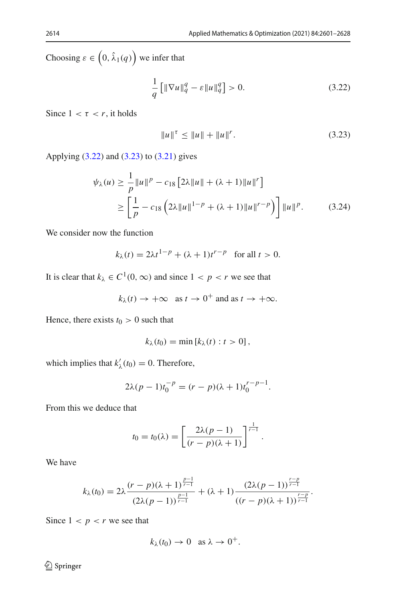Choosing  $\varepsilon \in (0, \hat{\lambda}_1(q))$  we infer that

<span id="page-13-0"></span>
$$
\frac{1}{q} \left[ \|\nabla u\|_{q}^{q} - \varepsilon \|u\|_{q}^{q} \right] > 0. \tag{3.22}
$$

Since  $1 < \tau < r$ , it holds

<span id="page-13-2"></span><span id="page-13-1"></span>
$$
||u||^{\tau} \le ||u|| + ||u||^r. \tag{3.23}
$$

Applying [\(3.22\)](#page-13-0) and [\(3.23\)](#page-13-1) to [\(3.21\)](#page-12-3) gives

$$
\psi_{\lambda}(u) \ge \frac{1}{p} \|u\|^{p} - c_{18} \left[ 2\lambda \|u\| + (\lambda + 1) \|u\|^{r} \right]
$$
  
 
$$
\ge \left[ \frac{1}{p} - c_{18} \left( 2\lambda \|u\|^{1-p} + (\lambda + 1) \|u\|^{r-p} \right) \right] \|u\|^{p}.
$$
 (3.24)

We consider now the function

$$
k_{\lambda}(t) = 2\lambda t^{1-p} + (\lambda + 1)t^{r-p} \quad \text{for all } t > 0.
$$

It is clear that  $k_{\lambda} \in C^1(0, \infty)$  and since  $1 < p < r$  we see that

$$
k_{\lambda}(t) \rightarrow +\infty
$$
 as  $t \rightarrow 0^+$  and as  $t \rightarrow +\infty$ .

Hence, there exists  $t_0 > 0$  such that

$$
k_{\lambda}(t_0)=\min [k_{\lambda}(t):t>0],
$$

which implies that  $k'_{\lambda}(t_0) = 0$ . Therefore,

$$
2\lambda(p-1)t_0^{-p} = (r-p)(\lambda+1)t_0^{r-p-1}.
$$

From this we deduce that

$$
t_0 = t_0(\lambda) = \left[\frac{2\lambda(p-1)}{(r-p)(\lambda+1)}\right]^{\frac{1}{r-1}}.
$$

We have

$$
k_{\lambda}(t_0) = 2\lambda \frac{(r-p)(\lambda+1)^{\frac{p-1}{r-1}}}{(2\lambda(p-1))^{\frac{p-1}{r-1}}} + (\lambda+1) \frac{(2\lambda(p-1))^{\frac{r-p}{r-1}}}{((r-p)(\lambda+1))^{\frac{r-p}{r-1}}}.
$$

Since  $1 < p < r$  we see that

$$
k_{\lambda}(t_0) \to 0 \text{ as } \lambda \to 0^+.
$$

 $\hat{2}$  Springer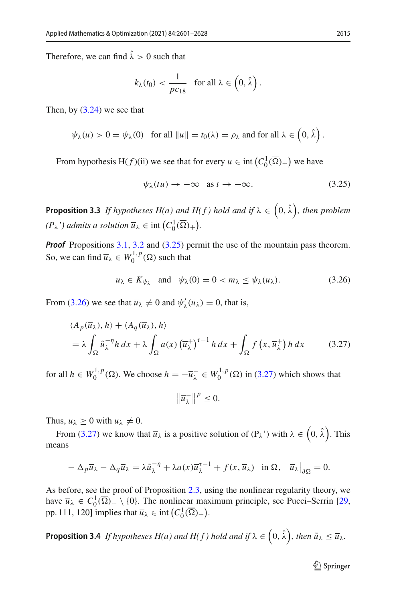Therefore, we can find  $\hat{\lambda} > 0$  such that

$$
k_{\lambda}(t_0) < \frac{1}{\text{pc}_{18}} \quad \text{for all } \lambda \in \left(0, \hat{\lambda}\right).
$$

Then, by [\(3.24\)](#page-13-2) we see that

$$
\psi_{\lambda}(u) > 0 = \psi_{\lambda}(0)
$$
 for all  $||u|| = t_0(\lambda) = \rho_{\lambda}$  and for all  $\lambda \in (0, \hat{\lambda})$ .

From hypothesis H( $f$ )(ii) we see that for every  $u \in \text{int}\left(C_0^1(\overline{\Omega})_+\right)$  we have

<span id="page-14-1"></span><span id="page-14-0"></span>
$$
\psi_{\lambda}(tu) \to -\infty \quad \text{as } t \to +\infty. \tag{3.25}
$$

<span id="page-14-4"></span>**Proposition 3.3** If hypotheses  $H(a)$  and  $H(f)$  hold and if  $\lambda \in (0, \hat{\lambda})$ , then problem  $(P_{\lambda})$  *admits a solution*  $\overline{u}_{\lambda} \in \text{int} (C_0^1(\overline{\Omega})_+).$ 

*Proof* Propositions [3.1,](#page-8-3) [3.2](#page-12-4) and [\(3.25\)](#page-14-0) permit the use of the mountain pass theorem. So, we can find  $\overline{u}_{\lambda} \in W_0^{1,p}(\Omega)$  such that

$$
\overline{u}_{\lambda} \in K_{\psi_{\lambda}} \quad \text{and} \quad \psi_{\lambda}(0) = 0 < m_{\lambda} \leq \psi_{\lambda}(\overline{u}_{\lambda}). \tag{3.26}
$$

From [\(3.26\)](#page-14-1) we see that  $\overline{u}_{\lambda} \neq 0$  and  $\psi'_{\lambda}(\overline{u}_{\lambda}) = 0$ , that is,

$$
\langle A_p(\overline{u}_\lambda), h \rangle + \langle A_q(\overline{u}_\lambda), h \rangle
$$
  
=  $\lambda \int_{\Omega} \tilde{u}_\lambda^{-\eta} h \, dx + \lambda \int_{\Omega} a(x) (\overline{u}_\lambda^+)^{\tau-1} h \, dx + \int_{\Omega} f(x, \overline{u}_\lambda^+) h \, dx$  (3.27)

for all  $h \in W_0^{1,p}(\Omega)$ . We choose  $h = -\overline{u}_\lambda^- \in W_0^{1,p}(\Omega)$  in [\(3.27\)](#page-14-2) which shows that

<span id="page-14-2"></span>
$$
\|\overline{u}_{\lambda}^{-}\|^{p} \leq 0.
$$

Thus,  $\overline{u}_{\lambda} \geq 0$  with  $\overline{u}_{\lambda} \neq 0$ .

From [\(3.27\)](#page-14-2) we know that  $\overline{u}_{\lambda}$  is a positive solution of (P<sub> $\lambda$ </sub>') with  $\lambda \in (0, \hat{\lambda})$ . This means

$$
-\Delta_p \overline{u}_{\lambda} - \Delta_q \overline{u}_{\lambda} = \lambda \tilde{u}_{\lambda}^{-\eta} + \lambda a(x) \overline{u}_{\lambda}^{\tau-1} + f(x, \overline{u}_{\lambda}) \quad \text{in } \Omega, \quad \overline{u}_{\lambda}|_{\partial \Omega} = 0.
$$

As before, see the proof of Proposition [2.3,](#page-6-2) using the nonlinear regularity theory, we have  $\overline{u}_{\lambda} \in C_0^1(\overline{\Omega})_+ \setminus \{0\}$ . The nonlinear maximum principle, see Pucci–Serrin [\[29,](#page-27-11) pp. 111, 120] implies that  $\overline{u}_{\lambda} \in \text{int} \left( C_0^1(\overline{\Omega})_+ \right)$ .

<span id="page-14-3"></span>**Proposition 3.4** If hypotheses  $H(a)$  and  $H(f)$  hold and if  $\lambda \in (0, \hat{\lambda})$ , then  $\tilde{u}_{\lambda} \leq \overline{u}_{\lambda}$ .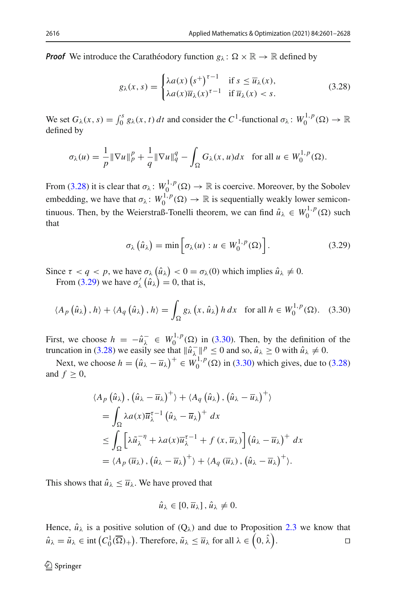**Proof** We introduce the Carathéodory function  $g_{\lambda} : \Omega \times \mathbb{R} \to \mathbb{R}$  defined by

<span id="page-15-0"></span>
$$
g_{\lambda}(x,s) = \begin{cases} \lambda a(x) \left(s^+\right)^{\tau-1} & \text{if } s \le \overline{u}_{\lambda}(x), \\ \lambda a(x) \overline{u}_{\lambda}(x)^{\tau-1} & \text{if } \overline{u}_{\lambda}(x) < s. \end{cases} \tag{3.28}
$$

We set  $G_\lambda(x, s) = \int_0^s g_\lambda(x, t) dt$  and consider the  $C^1$ -functional  $\sigma_\lambda : W_0^{1, p}(\Omega) \to \mathbb{R}$ defined by

$$
\sigma_{\lambda}(u) = \frac{1}{p} \|\nabla u\|_p^p + \frac{1}{q} \|\nabla u\|_q^q - \int_{\Omega} G_{\lambda}(x, u) dx \quad \text{for all } u \in W_0^{1, p}(\Omega).
$$

From [\(3.28\)](#page-15-0) it is clear that  $\sigma_{\lambda} : W_0^{1,p}(\Omega) \to \mathbb{R}$  is coercive. Moreover, by the Sobolev embedding, we have that  $\sigma_{\lambda} : W_0^{1,p}(\Omega) \to \mathbb{R}$  is sequentially weakly lower semicontinuous. Then, by the Weierstraß-Tonelli theorem, we can find  $\hat{u}_{\lambda} \in W_0^{1,p}(\Omega)$  such that

<span id="page-15-2"></span><span id="page-15-1"></span>
$$
\sigma_{\lambda}(\hat{u}_{\lambda}) = \min \left[ \sigma_{\lambda}(u) : u \in W_0^{1,p}(\Omega) \right]. \tag{3.29}
$$

Since  $\tau < q < p$ , we have  $\sigma_{\lambda}(\hat{u}_{\lambda}) < 0 = \sigma_{\lambda}(0)$  which implies  $\hat{u}_{\lambda} \neq 0$ . From [\(3.29\)](#page-15-1) we have  $\sigma'_{\lambda}(\hat{u}_{\lambda}) = 0$ , that is,

$$
\langle A_p\left(\hat{u}_\lambda\right), h\rangle + \langle A_q\left(\hat{u}_\lambda\right), h\rangle = \int_{\Omega} g_\lambda\left(x, \hat{u}_\lambda\right) h \, dx \quad \text{for all } h \in W_0^{1, p}(\Omega). \tag{3.30}
$$

First, we choose  $h = -\hat{u}_{\lambda}^- \in W_0^{1,p}(\Omega)$  in [\(3.30\)](#page-15-2). Then, by the definition of the truncation in [\(3.28\)](#page-15-0) we easily see that  $\|\hat{u}_{\lambda}\|^p \le 0$  and so,  $\hat{u}_{\lambda} \ge 0$  with  $\hat{u}_{\lambda} \ne 0$ .

Next, we choose  $h = (\hat{u}_{\lambda} - \overline{u}_{\lambda})^+ \in W_0^{1,p}(\Omega)$  in [\(3.30\)](#page-15-2) which gives, due to [\(3.28\)](#page-15-0) and  $f > 0$ ,

$$
\langle A_p(\hat{u}_\lambda), (\hat{u}_\lambda - \overline{u}_\lambda)^+ \rangle + \langle A_q(\hat{u}_\lambda), (\hat{u}_\lambda - \overline{u}_\lambda)^+ \rangle
$$
  
=  $\int_{\Omega} \lambda a(x) \overline{u}_\lambda^{\tau-1} (\hat{u}_\lambda - \overline{u}_\lambda)^+ dx$   

$$
\leq \int_{\Omega} \left[ \lambda \widetilde{u}_\lambda^{-\eta} + \lambda a(x) \overline{u}_\lambda^{\tau-1} + f(x, \overline{u}_\lambda) \right] (\hat{u}_\lambda - \overline{u}_\lambda)^+ dx
$$
  
=  $\langle A_p(\overline{u}_\lambda), (\hat{u}_\lambda - \overline{u}_\lambda)^+ \rangle + \langle A_q(\overline{u}_\lambda), (\hat{u}_\lambda - \overline{u}_\lambda)^+ \rangle.$ 

This shows that  $\hat{u}_{\lambda} \leq \overline{u}_{\lambda}$ . We have proved that

$$
\hat{u}_{\lambda} \in [0, \overline{u}_{\lambda}], \hat{u}_{\lambda} \neq 0.
$$

Hence,  $\hat{u}_{\lambda}$  is a positive solution of  $(Q_{\lambda})$  and due to Proposition [2.3](#page-6-2) we know that  $\hat{u}_{\lambda} = \tilde{u}_{\lambda} \in \text{int}\left(C_0^1(\overline{\Omega})_+\right)$ . Therefore,  $\tilde{u}_{\lambda} \leq \overline{u}_{\lambda}$  for all  $\lambda \in \left(0, \hat{\lambda}\right)$ .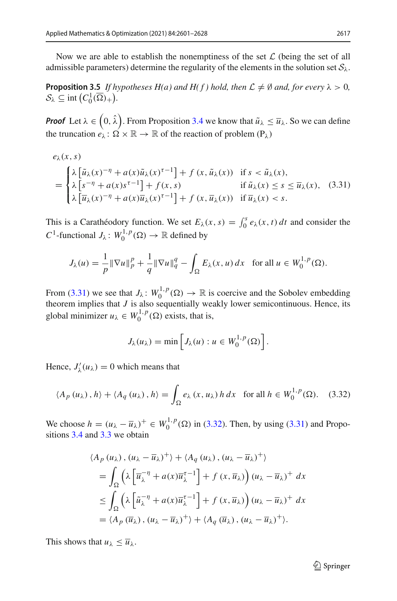<span id="page-16-2"></span>Now we are able to establish the nonemptiness of the set *L* (being the set of all admissible parameters) determine the regularity of the elements in the solution set  $S_\lambda$ .

**Proposition 3.5** *If hypotheses H(a) and H(f) hold, then*  $\mathcal{L} \neq \emptyset$  *and, for every*  $\lambda > 0$ *,*  $\mathcal{S}_{\lambda} \subseteq \text{int}\left(C_0^1(\overline{\Omega})_+\right).$ 

*Proof* Let  $\lambda \in (0, \hat{\lambda})$ . From Proposition [3.4](#page-14-3) we know that  $\tilde{u}_{\lambda} \le \overline{u}_{\lambda}$ . So we can define the truncation  $e_{\lambda} : \Omega \times \mathbb{R} \to \mathbb{R}$  of the reaction of problem  $(P_{\lambda})$ 

$$
e_{\lambda}(x, s)
$$
\n
$$
= \begin{cases}\n\lambda \left[ \tilde{u}_{\lambda}(x)^{-\eta} + a(x) \tilde{u}_{\lambda}(x)^{\tau-1} \right] + f(x, \tilde{u}_{\lambda}(x)) & \text{if } s < \tilde{u}_{\lambda}(x), \\
\lambda \left[ s^{-\eta} + a(x) s^{\tau-1} \right] + f(x, s) & \text{if } \tilde{u}_{\lambda}(x) \le s \le \overline{u}_{\lambda}(x), \\
\lambda \left[ \overline{u}_{\lambda}(x)^{-\eta} + a(x) \overline{u}_{\lambda}(x)^{\tau-1} \right] + f(x, \overline{u}_{\lambda}(x)) & \text{if } \overline{u}_{\lambda}(x) < s.\n\end{cases}
$$
\n
$$
(3.31)
$$

This is a Carathéodory function. We set  $E_{\lambda}(x, s) = \int_0^s e_{\lambda}(x, t) dt$  and consider the *C*<sup>1</sup>-functional *J*<sub> $\lambda$ </sub>:  $W_0^{1,p}(\Omega) \to \mathbb{R}$  defined by

$$
J_{\lambda}(u) = \frac{1}{p} \|\nabla u\|_{p}^{p} + \frac{1}{q} \|\nabla u\|_{q}^{q} - \int_{\Omega} E_{\lambda}(x, u) dx \text{ for all } u \in W_{0}^{1, p}(\Omega).
$$

From [\(3.31\)](#page-16-0) we see that  $J_{\lambda}$ :  $W_0^{1,p}(\Omega) \to \mathbb{R}$  is coercive and the Sobolev embedding theorem implies that *J* is also sequentially weakly lower semicontinuous. Hence, its global minimizer  $u_{\lambda} \in W_0^{1,p}(\Omega)$  exists, that is,

<span id="page-16-1"></span><span id="page-16-0"></span>
$$
J_{\lambda}(u_{\lambda}) = \min \left[ J_{\lambda}(u) : u \in W_0^{1,p}(\Omega) \right].
$$

Hence,  $J'_{\lambda}(u_{\lambda}) = 0$  which means that

$$
\langle A_p(u_\lambda), h \rangle + \langle A_q(u_\lambda), h \rangle = \int_{\Omega} e_\lambda(x, u_\lambda) h \, dx \quad \text{for all } h \in W_0^{1, p}(\Omega). \tag{3.32}
$$

We choose *h* =  $(u_\lambda - \overline{u}_\lambda)^+$  ∈  $W_0^{1,p}$  (Ω) in [\(3.32\)](#page-16-1). Then, by using [\(3.31\)](#page-16-0) and Propositions [3.4](#page-14-3) and [3.3](#page-14-4) we obtain

$$
\langle A_p(u_\lambda), (u_\lambda - \overline{u}_\lambda)^+ \rangle + \langle A_q(u_\lambda), (u_\lambda - \overline{u}_\lambda)^+ \rangle
$$
  
= 
$$
\int_{\Omega} \left( \lambda \left[ \overline{u}_\lambda^{-\eta} + a(x) \overline{u}_\lambda^{\tau-1} \right] + f(x, \overline{u}_\lambda) \right) (u_\lambda - \overline{u}_\lambda)^+ dx
$$
  

$$
\leq \int_{\Omega} \left( \lambda \left[ \overline{u}_\lambda^{-\eta} + a(x) \overline{u}_\lambda^{\tau-1} \right] + f(x, \overline{u}_\lambda) \right) (u_\lambda - \overline{u}_\lambda)^+ dx
$$
  
= 
$$
\langle A_p(\overline{u}_\lambda), (u_\lambda - \overline{u}_\lambda)^+ \rangle + \langle A_q(\overline{u}_\lambda), (u_\lambda - \overline{u}_\lambda)^+ \rangle.
$$

This shows that  $u_{\lambda} \leq \overline{u}_{\lambda}$ .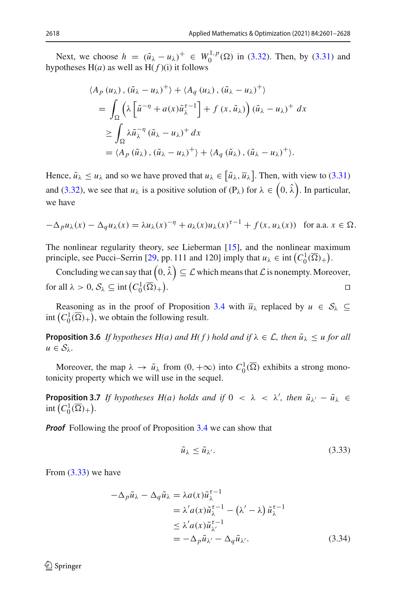Next, we choose  $h = (\tilde{u}_{\lambda} - u_{\lambda})^+ \in W_0^{1,p}(\Omega)$  in [\(3.32\)](#page-16-1). Then, by [\(3.31\)](#page-16-0) and hypotheses  $H(a)$  as well as  $H(f)(i)$  it follows

$$
\langle A_p (u_\lambda), (\tilde{u}_\lambda - u_\lambda)^+ \rangle + \langle A_q (u_\lambda), (\tilde{u}_\lambda - u_\lambda)^+ \rangle
$$
  
= 
$$
\int_{\Omega} \left( \lambda \left[ \tilde{u}^{-\eta} + a(x) \tilde{u}_\lambda^{\tau-1} \right] + f(x, \tilde{u}_\lambda) \right) (\tilde{u}_\lambda - u_\lambda)^+ dx
$$
  

$$
\geq \int_{\Omega} \lambda \tilde{u}_\lambda^{-\eta} (\tilde{u}_\lambda - u_\lambda)^+ dx
$$
  
= 
$$
\langle A_p (\tilde{u}_\lambda), (\tilde{u}_\lambda - u_\lambda)^+ \rangle + \langle A_q (\tilde{u}_\lambda), (\tilde{u}_\lambda - u_\lambda)^+ \rangle.
$$

Hence,  $\tilde{u}_{\lambda} \le u_{\lambda}$  and so we have proved that  $u_{\lambda} \in [\tilde{u}_{\lambda}, \overline{u}_{\lambda}]$ . Then, with view to [\(3.31\)](#page-16-0) and [\(3.32\)](#page-16-1), we see that  $u_\lambda$  is a positive solution of  $(P_\lambda)$  for  $\lambda \in (0, \hat{\lambda})$ . In particular, we have

$$
-\Delta_p u_\lambda(x) - \Delta_q u_\lambda(x) = \lambda u_\lambda(x)^{-\eta} + a_\lambda(x) u_\lambda(x)^{\tau-1} + f(x, u_\lambda(x)) \text{ for a.a. } x \in \Omega.
$$

The nonlinear regularity theory, see Lieberman [\[15](#page-27-10)], and the nonlinear maximum principle, see Pucci–Serrin [\[29,](#page-27-11) pp. 111 and 120] imply that  $u_{\lambda} \in \text{int} (C_0^1(\overline{\Omega})_+)$ .

Concluding we can say that  $\left(0,\hat{\lambda}\right)\subseteq\mathcal{L}$  which means that  $\mathcal L$  is nonempty. Moreover, for all  $\lambda > 0$ ,  $S_{\lambda} \subseteq \text{int}\left(C_0^1(\overline{\Omega})_+\right)$ . **Experimental properties** 

Reasoning as in the proof of Proposition [3.4](#page-14-3) with  $\overline{u}_{\lambda}$  replaced by  $u \in S_{\lambda} \subseteq$ int  $(C_0^1(\overline{\Omega})_+)$ , we obtain the following result.

**Proposition 3.6** *If hypotheses H(a) and H(f) hold and if*  $\lambda \in \mathcal{L}$ *, then*  $\tilde{u}_{\lambda} \leq u$  *for all*  $u \in S_\lambda$ .

<span id="page-17-2"></span>Moreover, the map  $\lambda \to \tilde{u}_{\lambda}$  from  $(0, +\infty)$  into  $C_0^1(\overline{\Omega})$  exhibits a strong monotonicity property which we will use in the sequel.

**Proposition 3.7** *If hypotheses H(a) holds and if*  $0 < \lambda < \lambda'$ , then  $\tilde{u}_{\lambda'} - \tilde{u}_{\lambda} \in$ int  $(C_0^1(\overline{\Omega})_+).$ 

*Proof* Following the proof of Proposition [3.4](#page-14-3) we can show that

<span id="page-17-1"></span><span id="page-17-0"></span>
$$
\tilde{u}_{\lambda} \le \tilde{u}_{\lambda'}.\tag{3.33}
$$

From [\(3.33\)](#page-17-0) we have

$$
-\Delta_p \tilde{u}_{\lambda} - \Delta_q \tilde{u}_{\lambda} = \lambda a(x) \tilde{u}_{\lambda}^{\tau - 1}
$$
  
=  $\lambda' a(x) \tilde{u}_{\lambda}^{\tau - 1} - (\lambda' - \lambda) \tilde{u}_{\lambda}^{\tau - 1}$   
 $\leq \lambda' a(x) \tilde{u}_{\lambda'}^{\tau - 1}$   
=  $-\Delta_p \tilde{u}_{\lambda'} - \Delta_q \tilde{u}_{\lambda'}$ . (3.34)

 $\mathcal{L}$  Springer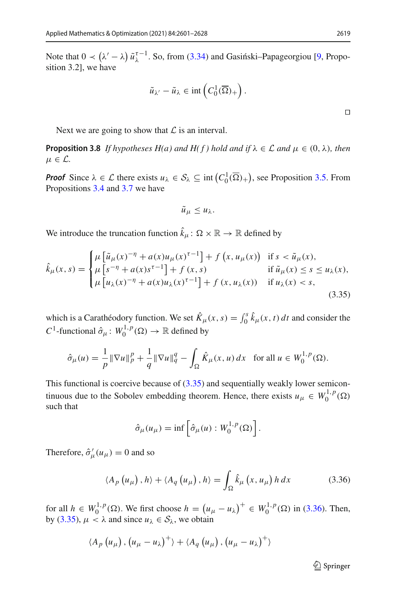Note that  $0 \prec (\lambda' - \lambda) \tilde{u}_{\lambda}^{\tau-1}$ . So, from [\(3.34\)](#page-17-1) and Gasiński–Papageorgiou [\[9,](#page-26-10) Proposition 3.2], we have

$$
\tilde{u}_{\lambda'} - \tilde{u}_{\lambda} \in \mathrm{int}\left(C_0^1(\overline{\Omega})_+\right).
$$

<span id="page-18-2"></span>Next we are going to show that  $\mathcal L$  is an interval.

**Proposition 3.8** *If hypotheses H(a) and H(f) hold and if*  $\lambda \in \mathcal{L}$  *and*  $\mu \in (0, \lambda)$ *, then*  $\mu \in \mathcal{L}$ .

*Proof* Since  $\lambda \in \mathcal{L}$  there exists  $u_{\lambda} \in \mathcal{S}_{\lambda} \subseteq \text{int}(C_0^1(\overline{\Omega})_+)$ , see Proposition [3.5.](#page-16-2) From Propositions [3.4](#page-14-3) and [3.7](#page-17-2) we have

<span id="page-18-0"></span>
$$
\tilde{u}_{\mu}\leq u_{\lambda}.
$$

We introduce the truncation function  $\hat{k}_{\mu} \colon \Omega \times \mathbb{R} \to \mathbb{R}$  defined by

$$
\hat{k}_{\mu}(x,s) = \begin{cases}\n\mu \left[ \tilde{u}_{\mu}(x)^{-\eta} + a(x)u_{\mu}(x)^{\tau-1} \right] + f(x, u_{\mu}(x)) & \text{if } s < \tilde{u}_{\mu}(x), \\
\mu \left[ s^{-\eta} + a(x)s^{\tau-1} \right] + f(x,s) & \text{if } \tilde{u}_{\mu}(x) \le s \le u_{\lambda}(x), \\
\mu \left[ u_{\lambda}(x)^{-\eta} + a(x)u_{\lambda}(x)^{\tau-1} \right] + f(x, u_{\lambda}(x)) & \text{if } u_{\lambda}(x) < s,\n\end{cases} \tag{3.35}
$$

which is a Carathéodory function. We set  $\hat{K}_{\mu}(x, s) = \int_0^s \hat{k}_{\mu}(x, t) dt$  and consider the *C*<sup>1</sup>-functional  $\hat{\sigma}_{\mu}$ :  $W_0^{1,p}(\Omega) \to \mathbb{R}$  defined by

$$
\hat{\sigma}_{\mu}(u) = \frac{1}{p} \|\nabla u\|_{p}^{p} + \frac{1}{q} \|\nabla u\|_{q}^{q} - \int_{\Omega} \hat{K}_{\mu}(x, u) dx \text{ for all } u \in W_{0}^{1, p}(\Omega).
$$

This functional is coercive because of  $(3.35)$  and sequentially weakly lower semicontinuous due to the Sobolev embedding theorem. Hence, there exists  $u_{\mu} \in W_0^{1,p}(\Omega)$ such that

$$
\hat{\sigma}_{\mu}(u_{\mu}) = \inf \left[ \hat{\sigma}_{\mu}(u) : W_0^{1,p}(\Omega) \right].
$$

Therefore,  $\hat{\sigma}'_{\mu}(u_{\mu}) = 0$  and so

$$
\langle A_{p}\left(u_{\mu}\right),h\rangle + \langle A_{q}\left(u_{\mu}\right),h\rangle = \int_{\Omega} \hat{k}_{\mu}\left(x,u_{\mu}\right)h\,dx\tag{3.36}
$$

for all  $h \in W_0^{1,p}(\Omega)$ . We first choose  $h = (u_\mu - u_\lambda)^+ \in W_0^{1,p}(\Omega)$  in [\(3.36\)](#page-18-1). Then, by [\(3.35\)](#page-18-0),  $\mu < \lambda$  and since  $u_{\lambda} \in S_{\lambda}$ , we obtain

$$
\langle A_p(u_\mu), (u_\mu - u_\lambda)^+ \rangle + \langle A_q(u_\mu), (u_\mu - u_\lambda)^+ \rangle
$$

<span id="page-18-1"></span> $\mathcal{D}$  Springer

 $\Box$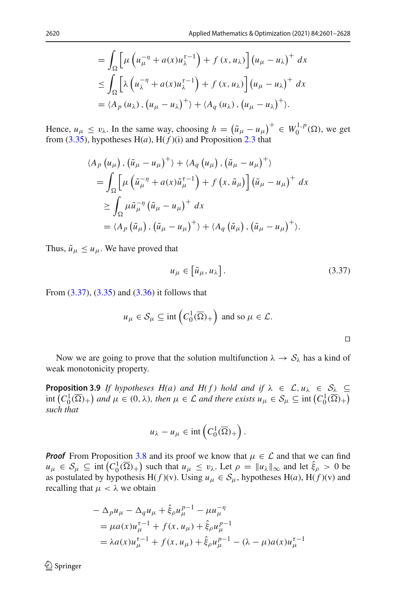$$
= \int_{\Omega} \left[ \mu \left( u_{\mu}^{-\eta} + a(x) u_{\lambda}^{\tau-1} \right) + f(x, u_{\lambda}) \right] (u_{\mu} - u_{\lambda})^{+} dx
$$
  

$$
\leq \int_{\Omega} \left[ \lambda \left( u_{\lambda}^{-\eta} + a(x) u_{\lambda}^{\tau-1} \right) + f(x, u_{\lambda}) \right] (u_{\mu} - u_{\lambda})^{+} dx
$$
  

$$
= \langle A_{p} (u_{\lambda}), (u_{\mu} - u_{\lambda})^{+} \rangle + \langle A_{q} (u_{\lambda}), (u_{\mu} - u_{\lambda})^{+} \rangle.
$$

Hence,  $u_{\mu} \le v_{\lambda}$ . In the same way, choosing  $h = (\tilde{u}_{\mu} - u_{\mu})^+ \in W_0^{1,p}(\Omega)$ , we get from  $(3.35)$ , hypotheses  $H(a)$ ,  $H(f)(i)$  and Proposition [2.3](#page-6-2) that

$$
\langle A_p (u_\mu), (\tilde{u}_\mu - u_\mu)^+ \rangle + \langle A_q (u_\mu), (\tilde{u}_\mu - u_\mu)^+ \rangle
$$
  
= 
$$
\int_{\Omega} \left[ \mu \left( \tilde{u}_\mu^{-\eta} + a(x) \tilde{u}_\mu^{-1} \right) + f(x, \tilde{u}_\mu) \right] (\tilde{u}_\mu - u_\mu)^+ dx
$$
  

$$
\geq \int_{\Omega} \mu \tilde{u}_\mu^{-\eta} (\tilde{u}_\mu - u_\mu)^+ dx
$$
  
= 
$$
\langle A_p (\tilde{u}_\mu), (\tilde{u}_\mu - u_\mu)^+ \rangle + \langle A_q (\tilde{u}_\mu), (\tilde{u}_\mu - u_\mu)^+ \rangle.
$$

Thus,  $\tilde{u}_{\mu} \leq u_{\mu}$ . We have proved that

$$
u_{\mu} \in \left[\tilde{u}_{\mu}, u_{\lambda}\right]. \tag{3.37}
$$

From [\(3.37\)](#page-19-0), [\(3.35\)](#page-18-0) and [\(3.36\)](#page-18-1) it follows that

$$
u_{\mu} \in S_{\mu} \subseteq \text{int}\left(C_0^1(\overline{\Omega})_+\right)
$$
 and so  $\mu \in \mathcal{L}$ .

<span id="page-19-0"></span> $\Box$ 

<span id="page-19-1"></span>Now we are going to prove that the solution multifunction  $\lambda \to S_\lambda$  has a kind of weak monotonicity property.

**Proposition 3.9** *If hypotheses H(a) and H(f) hold and if*  $\lambda \in \mathcal{L}, u_{\lambda} \in \mathcal{S}_{\lambda} \subseteq$  $\int_{0}^{\infty}$   $(C_0^1(\overline{\Omega})_+)$  and  $\mu \in (0, \lambda)$ , then  $\mu \in \mathcal{L}$  and there exists  $u_{\mu} \in \mathcal{S}_{\mu} \subseteq \text{int}(C_0^1(\overline{\Omega})_+)$ *such that*

$$
u_{\lambda}-u_{\mu}\in\mathrm{int}\left(C_0^1(\overline{\Omega})_+\right).
$$

*Proof* From Proposition [3.8](#page-18-2) and its proof we know that  $\mu \in \mathcal{L}$  and that we can find  $u_{\mu} \in S_{\mu} \subseteq \text{int}\left(C_0^1(\overline{\Omega})_+\right)$  such that  $u_{\mu} \leq v_{\lambda}$ . Let  $\rho = ||u_{\lambda}||_{\infty}$  and let  $\hat{\xi}_{\rho} > 0$  be as postulated by hypothesis H( $f$ )(v). Using  $u_{\mu} \in S_{\mu}$ , hypotheses H(a), H( $f$ )(v) and recalling that  $\mu < \lambda$  we obtain

$$
- \Delta_p u_\mu - \Delta_q u_\mu + \hat{\xi}_\rho u_\mu^{p-1} - \mu u_\mu^{-\eta}
$$
  
=  $\mu a(x) u_\mu^{\tau-1} + f(x, u_\mu) + \hat{\xi}_\rho u_\mu^{p-1}$   
=  $\lambda a(x) u_\mu^{\tau-1} + f(x, u_\mu) + \hat{\xi}_\rho u_\mu^{p-1} - (\lambda - \mu) a(x) u_\mu^{\tau-1}$ 

 $\mathcal{D}$  Springer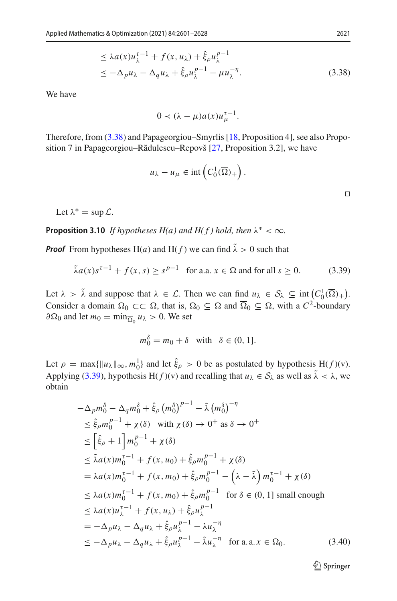$$
\leq \lambda a(x)u_{\lambda}^{\tau-1} + f(x, u_{\lambda}) + \hat{\xi}_{\rho}u_{\lambda}^{p-1}
$$
  

$$
\leq -\Delta_{p}u_{\lambda} - \Delta_{q}u_{\lambda} + \hat{\xi}_{\rho}u_{\lambda}^{p-1} - \mu u_{\lambda}^{-\eta}.
$$
 (3.38)

We have

<span id="page-20-0"></span>
$$
0 \prec (\lambda - \mu)a(x)u_{\mu}^{\tau-1}.
$$

Therefore, from [\(3.38\)](#page-20-0) and Papageorgiou–Smyrlis [\[18](#page-27-14), Proposition 4], see also Propo-sition 7 in Papageorgiou–Rădulescu–Repovš [\[27,](#page-27-15) Proposition 3.2], we have

<span id="page-20-1"></span>
$$
u_{\lambda}-u_{\mu}\in\mathrm{int}\left(C_0^1(\overline{\Omega})_+\right).
$$

Let  $\lambda^* = \sup \mathcal{L}$ .

**Proposition 3.10** *If hypotheses H(a) and H(f) hold, then*  $\lambda^* < \infty$ *.* 

*Proof* From hypotheses H(*a*) and H(*f*) we can find  $\tilde{\lambda} > 0$  such that

$$
\tilde{\lambda}a(x)s^{\tau-1} + f(x,s) \ge s^{p-1} \quad \text{for a.a. } x \in \Omega \text{ and for all } s \ge 0. \tag{3.39}
$$

Let  $\lambda > \tilde{\lambda}$  and suppose that  $\lambda \in \mathcal{L}$ . Then we can find  $u_{\lambda} \in \mathcal{S}_{\lambda} \subseteq \text{int} \left( C_0^1(\overline{\Omega})_+ \right)$ . Consider a domain  $\Omega_0 \subset\subset \Omega$ , that is,  $\Omega_0 \subseteq \Omega$  and  $\overline{\Omega}_0 \subseteq \Omega$ , with a  $C^2$ -boundary  $\partial \Omega_0$  and let  $m_0 = \min_{\overline{\Omega}_0} u_\lambda > 0$ . We set

$$
m_0^{\delta} = m_0 + \delta \quad \text{with} \quad \delta \in (0, 1].
$$

Let  $\rho = \max\{\|u_\lambda\|_\infty, m_0^1\}$  and let  $\hat{\xi}_\rho > 0$  be as postulated by hypothesis  $H(f)(v)$ . Applying [\(3.39\)](#page-20-1), hypothesis H( $f$ )(v) and recalling that  $u_\lambda \in S_\lambda$  as well as  $\tilde{\lambda} < \lambda$ , we obtain

<span id="page-20-2"></span>
$$
-\Delta_p m_0^{\delta} - \Delta_q m_0^{\delta} + \hat{\xi}_{\rho} (m_0^{\delta})^{p-1} - \tilde{\lambda} (m_0^{\delta})^{-\eta}
$$
  
\n
$$
\leq \hat{\xi}_{\rho} m_0^{p-1} + \chi(\delta) \quad \text{with } \chi(\delta) \to 0^+ \text{ as } \delta \to 0^+
$$
  
\n
$$
\leq [\hat{\xi}_{\rho} + 1] m_0^{p-1} + \chi(\delta)
$$
  
\n
$$
\leq \tilde{\lambda} a(x) m_0^{\tau-1} + f(x, u_0) + \hat{\xi}_{\rho} m_0^{p-1} + \chi(\delta)
$$
  
\n
$$
= \lambda a(x) m_0^{\tau-1} + f(x, m_0) + \hat{\xi}_{\rho} m_0^{p-1} - (\lambda - \tilde{\lambda}) m_0^{\tau-1} + \chi(\delta)
$$
  
\n
$$
\leq \lambda a(x) m_0^{\tau-1} + f(x, m_0) + \hat{\xi}_{\rho} m_0^{p-1} \quad \text{for } \delta \in (0, 1] \text{ small enough}
$$
  
\n
$$
\leq \lambda a(x) u_{\lambda}^{\tau-1} + f(x, u_{\lambda}) + \hat{\xi}_{\rho} u_{\lambda}^{p-1}
$$
  
\n
$$
= -\Delta_p u_{\lambda} - \Delta_q u_{\lambda} + \hat{\xi}_{\rho} u_{\lambda}^{p-1} - \lambda u_{\lambda}^{-\eta} \quad \text{for a.a. } x \in \Omega_0.
$$
  
\n(3.40)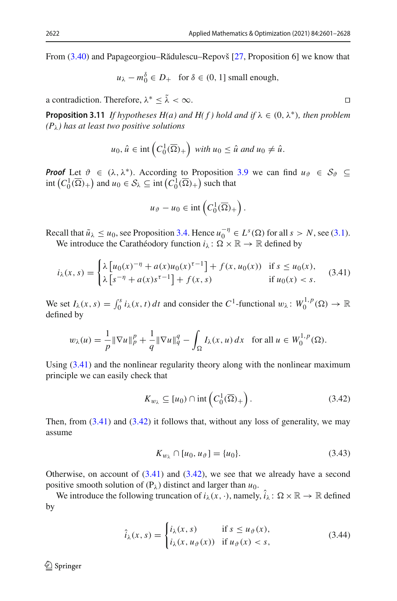From  $(3.40)$  and Papageorgiou–Rădulescu–Repovš  $[27,$  Proposition 6 $]$  we know that

$$
u_{\lambda} - m_0^{\delta} \in D_+
$$
 for  $\delta \in (0, 1]$  small enough,

a contradiction. Therefore,  $\lambda^* \leq \tilde{\lambda} < \infty$ .

**Proposition 3.11** *If hypotheses H(a) and H(f) hold and if*  $\lambda \in (0, \lambda^*)$ *, then problem (P*λ*) has at least two positive solutions*

$$
u_0, \hat{u} \in \text{int}\left(C_0^1(\overline{\Omega})_+\right) \text{ with } u_0 \leq \hat{u} \text{ and } u_0 \neq \hat{u}.
$$

*Proof* Let  $\vartheta \in (\lambda, \lambda^*)$ . According to Proposition [3.9](#page-19-1) we can find  $u_{\vartheta} \in S_{\vartheta} \subseteq$  $\text{int}\left(C_0^1(\overline{\Omega})_+\right)$  and  $u_0 \in \mathcal{S}_\lambda \subseteq \text{int}\left(C_0^1(\overline{\Omega})_+\right)$  such that

$$
u_{\vartheta}-u_0\in\mathrm{int}\left(C_0^1(\overline{\Omega})_+\right).
$$

Recall that  $\tilde{u}_{\lambda} \le u_0$ , see Proposition [3.4.](#page-14-3) Hence  $u_0^{-\eta} \in L^s(\Omega)$  for all  $s > N$ , see [\(3.1\)](#page-8-0). We introduce the Carathéodory function  $i_{\lambda} : \Omega \times \mathbb{R} \to \mathbb{R}$  defined by

$$
i_{\lambda}(x,s) = \begin{cases} \lambda \left[ u_0(x)^{-\eta} + a(x)u_0(x)^{\tau-1} \right] + f(x,u_0(x)) & \text{if } s \le u_0(x), \\ \lambda \left[ s^{-\eta} + a(x)s^{\tau-1} \right] + f(x,s) & \text{if } u_0(x) < s. \end{cases} \tag{3.41}
$$

We set  $I_\lambda(x, s) = \int_0^s i_\lambda(x, t) dt$  and consider the  $C^1$ -functional  $w_\lambda : W_0^{1, p}(\Omega) \to \mathbb{R}$ defined by

$$
w_{\lambda}(u) = \frac{1}{p} \|\nabla u\|_{p}^{p} + \frac{1}{q} \|\nabla u\|_{q}^{q} - \int_{\Omega} I_{\lambda}(x, u) dx \text{ for all } u \in W_{0}^{1, p}(\Omega).
$$

Using  $(3.41)$  and the nonlinear regularity theory along with the nonlinear maximum principle we can easily check that

<span id="page-21-1"></span>
$$
K_{w_{\lambda}} \subseteq [u_0) \cap \text{int}\left(C_0^1(\overline{\Omega})_+\right). \tag{3.42}
$$

Then, from  $(3.41)$  and  $(3.42)$  it follows that, without any loss of generality, we may assume

<span id="page-21-3"></span><span id="page-21-2"></span>
$$
K_{w_{\lambda}} \cap [u_0, u_{\vartheta}] = \{u_0\}.
$$
 (3.43)

Otherwise, on account of  $(3.41)$  and  $(3.42)$ , we see that we already have a second positive smooth solution of  $(P_\lambda)$  distinct and larger than  $u_0$ .

We introduce the following truncation of  $i_{\lambda}(x, \cdot)$ , namely,  $\hat{i}_{\lambda} : \Omega \times \mathbb{R} \to \mathbb{R}$  defined by

$$
\hat{i}_{\lambda}(x,s) = \begin{cases} i_{\lambda}(x,s) & \text{if } s \le u_{\vartheta}(x), \\ i_{\lambda}(x,u_{\vartheta}(x)) & \text{if } u_{\vartheta}(x) < s, \end{cases} \tag{3.44}
$$

<span id="page-21-0"></span>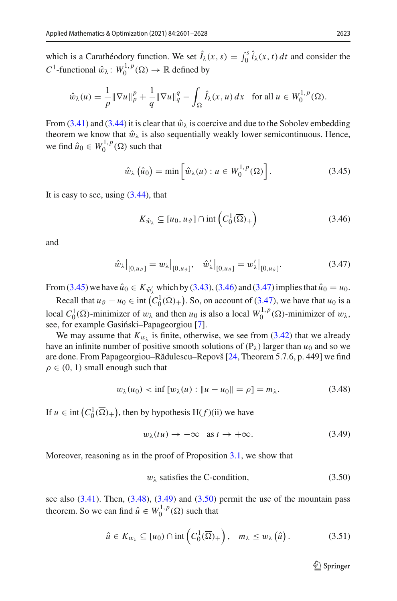which is a Carathéodory function. We set  $\hat{I}_{\lambda}(x, s) = \int_0^s \hat{i}_{\lambda}(x, t) dt$  and consider the *C*<sup>1</sup>-functional  $\hat{w}_{\lambda}$ :  $W_0^{1,p}(\Omega) \to \mathbb{R}$  defined by

$$
\hat{w}_{\lambda}(u) = \frac{1}{p} \|\nabla u\|_{p}^{p} + \frac{1}{q} \|\nabla u\|_{q}^{q} - \int_{\Omega} \hat{I}_{\lambda}(x, u) dx \text{ for all } u \in W_{0}^{1, p}(\Omega).
$$

From [\(3.41\)](#page-21-0) and [\(3.44\)](#page-21-2) it is clear that  $\hat{w}_{\lambda}$  is coercive and due to the Sobolev embedding theorem we know that  $\hat{w}_{\lambda}$  is also sequentially weakly lower semicontinuous. Hence, we find  $\hat{u}_0 \in W_0^{1,p}(\Omega)$  such that

$$
\hat{w}_{\lambda}(\hat{u}_0) = \min\left[\hat{w}_{\lambda}(u) : u \in W_0^{1,p}(\Omega)\right].
$$
\n(3.45)

It is easy to see, using  $(3.44)$ , that

<span id="page-22-2"></span><span id="page-22-1"></span><span id="page-22-0"></span>
$$
K_{\hat{w}_{\lambda}} \subseteq [u_0, u_{\vartheta}] \cap \text{int}\left(C_0^1(\overline{\Omega})_+\right) \tag{3.46}
$$

and

$$
\hat{w}_{\lambda}|_{[0,u_{\vartheta}]} = w_{\lambda}|_{[0,u_{\vartheta}]}, \quad \hat{w}'_{\lambda}|_{[0,u_{\vartheta}]} = w'_{\lambda}|_{[0,u_{\vartheta}]}.
$$
\n(3.47)

From [\(3.45\)](#page-22-0) we have  $\hat{u}_0 \in K_{\hat{w}'_\lambda}$  which by [\(3.43\)](#page-21-3), [\(3.46\)](#page-22-1) and [\(3.47\)](#page-22-2) implies that  $\hat{u}_0 = u_0$ .

Recall that  $u_{\vartheta} - u_0 \in \text{int} \left( C_0^1(\overline{\Omega})_+ \right)$ . So, on account of [\(3.47\)](#page-22-2), we have that  $u_0$  is a local  $C_0^1(\overline{\Omega})$ -minimizer of  $w_\lambda$  and then  $u_0$  is also a local  $W_0^{1,p}(\Omega)$ -minimizer of  $w_\lambda$ , see, for example Gasiński–Papageorgiou [\[7\]](#page-26-11).

We may assume that  $K_{w_{\lambda}}$  is finite, otherwise, we see from [\(3.42\)](#page-21-1) that we already have an infinite number of positive smooth solutions of  $(P_\lambda)$  larger than  $u_0$  and so we are done. From Papageorgiou–Rădulescu–Repovš [\[24,](#page-27-12) Theorem 5.7.6, p. 449] we find  $\rho \in (0, 1)$  small enough such that

$$
w_{\lambda}(u_0) < \inf \left[ w_{\lambda}(u) : \|u - u_0\| = \rho \right] = m_{\lambda}.\tag{3.48}
$$

If  $u \in \text{int}(C_0^1(\overline{\Omega})_+)$ , then by hypothesis  $H(f)(ii)$  we have

<span id="page-22-4"></span><span id="page-22-3"></span>
$$
w_{\lambda}(tu) \to -\infty \quad \text{as } t \to +\infty. \tag{3.49}
$$

Moreover, reasoning as in the proof of Proposition [3.1,](#page-8-3) we show that

<span id="page-22-6"></span><span id="page-22-5"></span>
$$
w_{\lambda} \text{ satisfies the C-condition, } (3.50)
$$

see also  $(3.41)$ . Then,  $(3.48)$ ,  $(3.49)$  and  $(3.50)$  permit the use of the mountain pass theorem. So we can find  $\hat{u} \in W_0^{1,p}(\Omega)$  such that

$$
\hat{u} \in K_{w_{\lambda}} \subseteq [u_0) \cap \mathrm{int}\left(C_0^1(\overline{\Omega})_+\right), \quad m_{\lambda} \le w_{\lambda}\left(\hat{u}\right). \tag{3.51}
$$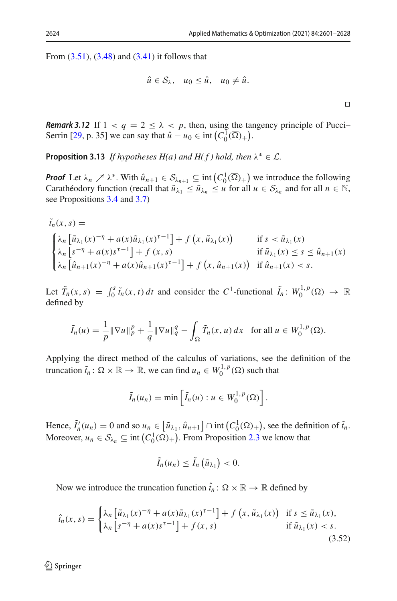$\Box$ 

From [\(3.51\)](#page-22-6), [\(3.48\)](#page-22-3) and [\(3.41\)](#page-21-0) it follows that

$$
\hat{u} \in \mathcal{S}_{\lambda}, \quad u_0 \leq \hat{u}, \quad u_0 \neq \hat{u}.
$$

*Remark* 3.12 If  $1 < q = 2 \le \lambda < p$ , then, using the tangency principle of Pucci-Serrin [\[29,](#page-27-11) p. 35] we can say that  $\hat{u} - u_0 \in \text{int} \left( C_0^1(\overline{\Omega})_+ \right)$ .

<span id="page-23-1"></span>**Proposition 3.13** *If hypotheses H(a) and H(f) hold, then*  $\lambda^* \in \mathcal{L}$ *.* 

*Proof* Let  $\lambda_n \nearrow \lambda^*$ . With  $\hat{u}_{n+1} \in S_{\lambda_{n+1}} \subseteq \text{int}\left(C_0^1(\overline{\Omega})_+\right)$  we introduce the following Carathéodory function (recall that  $\tilde{u}_{\lambda_1} \leq \tilde{u}_{\lambda_n} \leq u$  for all  $u \in S_{\lambda_n}$  and for all  $n \in \mathbb{N}$ , see Propositions [3.4](#page-14-3) and [3.7\)](#page-17-2)

$$
\tilde{t}_n(x, s) =
$$
\n
$$
\begin{cases}\n\lambda_n \left[ \tilde{u}_{\lambda_1}(x)^{-\eta} + a(x)\tilde{u}_{\lambda_1}(x)^{\tau-1} \right] + f(x, \tilde{u}_{\lambda_1}(x)) & \text{if } s < \tilde{u}_{\lambda_1}(x) \\
\lambda_n \left[ s^{-\eta} + a(x)s^{\tau-1} \right] + f(x, s) & \text{if } \tilde{u}_{\lambda_1}(x) \le s \le \hat{u}_{n+1}(x) \\
\lambda_n \left[ \hat{u}_{n+1}(x)^{-\eta} + a(x)\hat{u}_{n+1}(x)^{\tau-1} \right] + f(x, \hat{u}_{n+1}(x)) & \text{if } \hat{u}_{n+1}(x) < s.\n\end{cases}
$$

Let  $\tilde{T}_n(x,s) = \int_0^s \tilde{t}_n(x,t) dt$  and consider the  $C^1$ -functional  $\tilde{I}_n : W_0^{1,p}(\Omega) \to \mathbb{R}$ defined by

$$
\tilde{I}_n(u) = \frac{1}{p} \|\nabla u\|_p^p + \frac{1}{q} \|\nabla u\|_q^q - \int_{\Omega} \tilde{T}_n(x, u) \, dx \quad \text{for all } u \in W_0^{1, p}(\Omega).
$$

Applying the direct method of the calculus of variations, see the definition of the truncation  $\tilde{t}_n : \Omega \times \mathbb{R} \to \mathbb{R}$ , we can find  $u_n \in W_0^{1,p}(\Omega)$  such that

$$
\tilde{I}_n(u_n)=\min\left[\tilde{I}_n(u):u\in W_0^{1,p}(\Omega)\right].
$$

Hence,  $\tilde{I}'_n(u_n) = 0$  and so  $u_n \in [\tilde{u}_{\lambda_1}, \hat{u}_{n+1}] \cap \text{int}(C_0^1(\overline{\Omega})_+)$ , see the definition of  $\tilde{t}_n$ . Moreover,  $u_n \in S_{\lambda_n} \subseteq \text{int}\left(C_0^1(\overline{\Omega})+\right)$ . From Proposition [2.3](#page-6-2) we know that

<span id="page-23-0"></span>
$$
\tilde{I}_n(u_n)\leq \tilde{I}_n\left(\tilde{u}_{\lambda_1}\right)<0.
$$

Now we introduce the truncation function  $\hat{t}_n : \Omega \times \mathbb{R} \to \mathbb{R}$  defined by

$$
\hat{t}_n(x,s) = \begin{cases} \lambda_n \left[ \tilde{u}_{\lambda_1}(x)^{-\eta} + a(x)\tilde{u}_{\lambda_1}(x)^{\tau-1} \right] + f\left( x, \tilde{u}_{\lambda_1}(x) \right) & \text{if } s \le \tilde{u}_{\lambda_1}(x), \\ \lambda_n \left[ s^{-\eta} + a(x)s^{\tau-1} \right] + f(x,s) & \text{if } \tilde{u}_{\lambda_1}(x) < s. \end{cases} \tag{3.52}
$$

 $\textcircled{2}$  Springer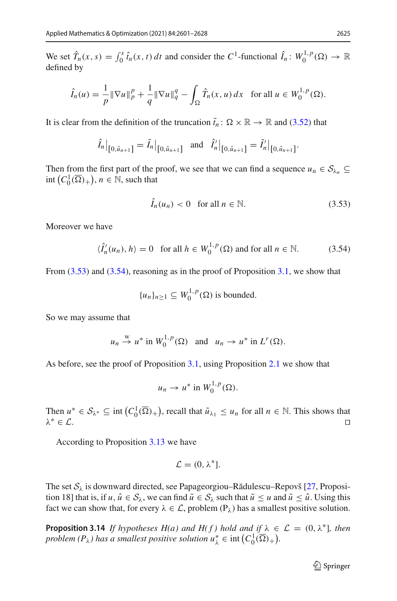We set  $\hat{T}_n(x, s) = \int_0^s \hat{t}_n(x, t) dt$  and consider the  $C^1$ -functional  $\hat{I}_n : W_0^{1, p}(\Omega) \to \mathbb{R}$ defined by

$$
\hat{I}_n(u) = \frac{1}{p} \|\nabla u\|_p^p + \frac{1}{q} \|\nabla u\|_q^q - \int_{\Omega} \hat{T}_n(x, u) \, dx \quad \text{for all } u \in W_0^{1, p}(\Omega).
$$

It is clear from the definition of the truncation  $\tilde{t}_n : \Omega \times \mathbb{R} \to \mathbb{R}$  and [\(3.52\)](#page-23-0) that

$$
\hat{I}_n|_{[0,\hat{u}_{n+1}]} = \tilde{I}_n|_{[0,\hat{u}_{n+1}]} \text{ and } \hat{I}'_n|_{[0,\hat{u}_{n+1}]} = \tilde{I}'_n|_{[0,\hat{u}_{n+1}]}.
$$

Then from the first part of the proof, we see that we can find a sequence  $u_n \in S_{\lambda_n} \subseteq$  $\text{int}\left(C_0^1(\overline{\Omega})_+\right), n \in \mathbb{N}$ , such that

<span id="page-24-1"></span><span id="page-24-0"></span>
$$
\hat{I}_n(u_n) < 0 \quad \text{for all } n \in \mathbb{N}.\tag{3.53}
$$

Moreover we have

$$
\langle \hat{I}'_n(u_n), h \rangle = 0 \quad \text{for all } h \in W_0^{1,p}(\Omega) \text{ and for all } n \in \mathbb{N}.
$$
 (3.54)

From  $(3.53)$  and  $(3.54)$ , reasoning as in the proof of Proposition [3.1,](#page-8-3) we show that

$$
{u_n}_{n\geq 1} \subseteq W_0^{1,p}(\Omega)
$$
 is bounded.

So we may assume that

$$
u_n \stackrel{w}{\rightarrow} u^*
$$
 in  $W_0^{1,p}(\Omega)$  and  $u_n \rightarrow u^*$  in  $L^r(\Omega)$ .

As before, see the proof of Proposition [3.1,](#page-8-3) using Proposition [2.1](#page-4-0) we show that

$$
u_n \to u^* \text{ in } W_0^{1,p}(\Omega).
$$

Then  $u^* \in S_{\lambda^*} \subseteq \text{int}(C_0^1(\overline{\Omega})_+)$ , recall that  $\tilde{u}_{\lambda_1} \leq u_n$  for all  $n \in \mathbb{N}$ . This shows that  $\lambda^* \in \mathcal{L}$ .

According to Proposition [3.13](#page-23-1) we have

$$
\mathcal{L}=(0,\lambda^*].
$$

The set  $S_\lambda$  is downward directed, see Papageorgiou–Rădulescu–Repovš [\[27,](#page-27-15) Proposition 18] that is, if  $u, \hat{u} \in S_\lambda$ , we can find  $\tilde{u} \in S_\lambda$  such that  $\tilde{u} \le u$  and  $\tilde{u} \le \hat{u}$ . Using this fact we can show that, for every  $\lambda \in \mathcal{L}$ , problem  $(P_{\lambda})$  has a smallest positive solution.

<span id="page-24-2"></span>**Proposition 3.14** *If hypotheses H(a) and H(f) hold and if*  $\lambda \in \mathcal{L} = (0, \lambda^*)$ *, then problem*  $(P_{\lambda})$  *has a smallest positive solution*  $u_{\lambda}^{*} \in \text{int} (C_0^1(\overline{\Omega})_+).$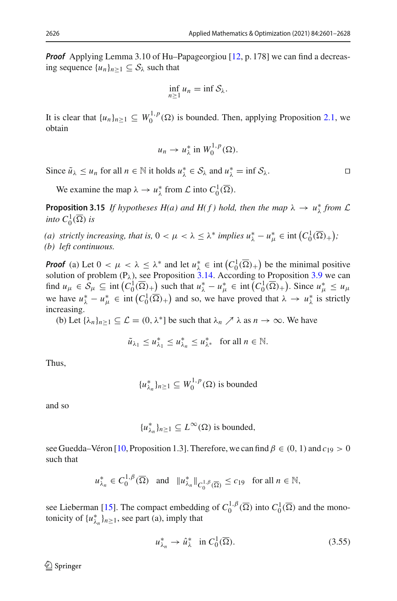*Proof* Applying Lemma 3.10 of Hu–Papageorgiou [\[12,](#page-26-12) p. 178] we can find a decreasing sequence  $\{u_n\}_{n>1} \subseteq S_\lambda$  such that

$$
\inf_{n\geq 1}u_n=\inf\mathcal{S}_{\lambda}.
$$

It is clear that  $\{u_n\}_{n\geq 1} \subseteq W_0^{1,p}(\Omega)$  is bounded. Then, applying Proposition [2.1,](#page-4-0) we obtain

$$
u_n \to u_\lambda^* \text{ in } W_0^{1,p}(\Omega).
$$

Since  $\tilde{u}_{\lambda} \leq u_n$  for all  $n \in \mathbb{N}$  it holds  $u_{\lambda}^* \in S_{\lambda}$  and  $u_{\lambda}^* = \inf S_{\lambda}$ .

We examine the map  $\lambda \to u_{\lambda}^*$  from  $\mathcal{L}$  into  $C_0^1(\overline{\Omega})$ .

**Proposition 3.15** *If hypotheses H(a) and H(f) hold, then the map*  $\lambda \to u_{\lambda}^*$  *from*  $\mathcal{L}$ *into*  $C_0^1(\overline{\Omega})$  *is* 

*(a) strictly increasing, that is,*  $0 < \mu < \lambda \leq \lambda^*$  *implies*  $u_{\lambda}^* - u_{\mu}^* \in \text{int}\left(C_0^1(\overline{\Omega})_+\right);$ *(b) left continuous.*

*Proof* (a) Let  $0 < \mu < \lambda \leq \lambda^*$  and let  $u_{\lambda}^* \in \text{int}\left(C_0^1(\overline{\Omega})_+\right)$  be the minimal positive solution of problem  $(P_{\lambda})$ , see Proposition [3.14.](#page-24-2) According to Proposition [3.9](#page-19-1) we can find  $u_{\mu} \in S_{\mu} \subseteq \text{int}\left(C_0^1(\overline{\Omega})_+\right)$  such that  $u_{\lambda}^* - u_{\mu}^* \in \text{int}\left(C_0^1(\overline{\Omega})_+\right)$ . Since  $u_{\mu}^* \leq u_{\mu}$ we have  $u_{\lambda}^* - u_{\mu}^* \in \text{int}(C_0^1(\overline{\Omega})_+)$  and so, we have proved that  $\lambda \to u_{\lambda}^*$  is strictly increasing.

(b) Let  $\{\lambda_n\}_{n\geq 1} \subseteq \mathcal{L} = (0, \lambda^*)$  be such that  $\lambda_n \nearrow \lambda$  as  $n \to \infty$ . We have

$$
\tilde{u}_{\lambda_1} \le u_{\lambda_1}^* \le u_{\lambda_n}^* \le u_{\lambda^*}^* \quad \text{for all } n \in \mathbb{N}.
$$

Thus,

$$
\{u_{\lambda_n}^*\}_{n\geq 1} \subseteq W_0^{1,p}(\Omega)
$$
 is bounded

and so

$$
{u^*_{\lambda_n}}_{n \geq 1} \subseteq L^{\infty}(\Omega)
$$
 is bounded,

see Guedda–Véron [\[10](#page-26-13), Proposition 1.3]. Therefore, we can find  $\beta \in (0, 1)$  and  $c_{19} > 0$ such that

$$
u^*_{\lambda_n} \in C_0^{1,\beta}(\overline{\Omega})
$$
 and  $||u^*_{\lambda_n}||_{C_0^{1,\beta}(\overline{\Omega})} \le c_{19}$  for all  $n \in \mathbb{N}$ ,

see Lieberman [\[15](#page-27-10)]. The compact embedding of  $C_0^{1,\beta}(\overline{\Omega})$  into  $C_0^1(\overline{\Omega})$  and the monotonicity of  $\{u_{\lambda_n}^*\}_{n\geq 1}$ , see part (a), imply that

<span id="page-25-0"></span>
$$
u_{\lambda_n}^* \to \hat{u}_{\lambda}^* \quad \text{in } C_0^1(\overline{\Omega}). \tag{3.55}
$$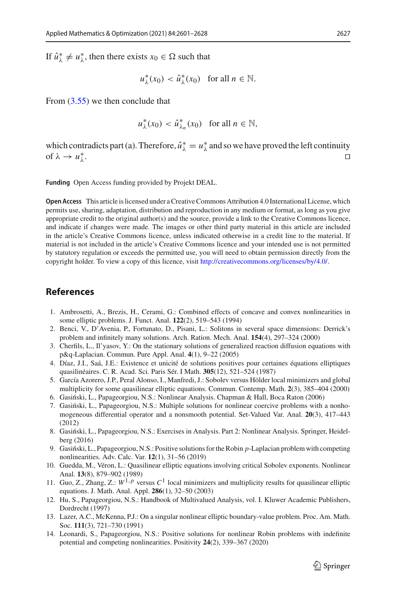If  $\hat{u}^*_{\lambda} \neq u^*_{\lambda}$ , then there exists  $x_0 \in \Omega$  such that

 $u^*_{\lambda}(x_0) < \hat{u}^*_{\lambda}(x_0)$  for all  $n \in \mathbb{N}$ .

From [\(3.55\)](#page-25-0) we then conclude that

 $u^*_{\lambda}(x_0) < \hat{u}^*_{\lambda_n}(x_0)$  for all  $n \in \mathbb{N}$ ,

which contradicts part (a). Therefore,  $\hat{u}^*_{\lambda} = u^*_{\lambda}$  and so we have proved the left continuity of  $\lambda \rightarrow u_{\lambda}^*$ .  $\lambda$ .

**Funding** Open Access funding provided by Projekt DEAL.

**Open Access** This article is licensed under a Creative Commons Attribution 4.0 International License, which permits use, sharing, adaptation, distribution and reproduction in any medium or format, as long as you give appropriate credit to the original author(s) and the source, provide a link to the Creative Commons licence, and indicate if changes were made. The images or other third party material in this article are included in the article's Creative Commons licence, unless indicated otherwise in a credit line to the material. If material is not included in the article's Creative Commons licence and your intended use is not permitted by statutory regulation or exceeds the permitted use, you will need to obtain permission directly from the copyright holder. To view a copy of this licence, visit [http://creativecommons.org/licenses/by/4.0/.](http://creativecommons.org/licenses/by/4.0/)

# **References**

- <span id="page-26-0"></span>1. Ambrosetti, A., Brezis, H., Cerami, G.: Combined effects of concave and convex nonlinearities in some elliptic problems. J. Funct. Anal. **122**(2), 519–543 (1994)
- <span id="page-26-4"></span>2. Benci, V., D'Avenia, P., Fortunato, D., Pisani, L.: Solitons in several space dimensions: Derrick's problem and infinitely many solutions. Arch. Ration. Mech. Anal. **154**(4), 297–324 (2000)
- <span id="page-26-5"></span>3. Cherfils, L., Il'yasov, Y.: On the stationary solutions of generalized reaction diffusion equations with p&q-Laplacian. Commun. Pure Appl. Anal. **4**(1), 9–22 (2005)
- <span id="page-26-7"></span>4. Díaz, J.I., Saá, J.E.: Existence et unicité de solutions positives pour certaines équations elliptiques quasilinéaires. C. R. Acad. Sci. Paris Sér. I Math. **305**(12), 521–524 (1987)
- <span id="page-26-1"></span>5. García Azorero, J.P., Peral Alonso, I., Manfredi, J.: Sobolev versus Hölder local minimizers and global multiplicity for some quasilinear elliptic equations. Commun. Contemp. Math. **2**(3), 385–404 (2000)
- <span id="page-26-9"></span>6. Gasiński, L., Papageorgiou, N.S.: Nonlinear Analysis. Chapman & Hall, Boca Raton (2006)
- <span id="page-26-11"></span>7. Gasiński, L., Papageorgiou, N.S.: Multiple solutions for nonlinear coercive problems with a nonhomogeneous differential operator and a nonsmooth potential. Set-Valued Var. Anal. **20**(3), 417–443 (2012)
- <span id="page-26-6"></span>8. Gasiński, L., Papageorgiou, N.S.: Exercises in Analysis. Part 2: Nonlinear Analysis. Springer, Heidelberg (2016)
- <span id="page-26-10"></span>9. Gasiński, L., Papageorgiou, N.S.: Positive solutions for the Robin *p*-Laplacian problem with competing nonlinearities. Adv. Calc. Var. **12**(1), 31–56 (2019)
- <span id="page-26-13"></span>10. Guedda, M., Véron, L.: Quasilinear elliptic equations involving critical Sobolev exponents. Nonlinear Anal. **13**(8), 879–902 (1989)
- <span id="page-26-2"></span>11. Guo, Z., Zhang, Z.:  $W^{1,p}$  versus  $C^1$  local minimizers and multiplicity results for quasilinear elliptic equations. J. Math. Anal. Appl. **286**(1), 32–50 (2003)
- <span id="page-26-12"></span>12. Hu, S., Papageorgiou, N.S.: Handbook of Multivalued Analysis, vol. I. Kluwer Academic Publishers, Dordrecht (1997)
- <span id="page-26-8"></span>13. Lazer, A.C., McKenna, P.J.: On a singular nonlinear elliptic boundary-value problem. Proc. Am. Math. Soc. **111**(3), 721–730 (1991)
- <span id="page-26-3"></span>14. Leonardi, S., Papageorgiou, N.S.: Positive solutions for nonlinear Robin problems with indefinite potential and competing nonlinearities. Positivity **24**(2), 339–367 (2020)